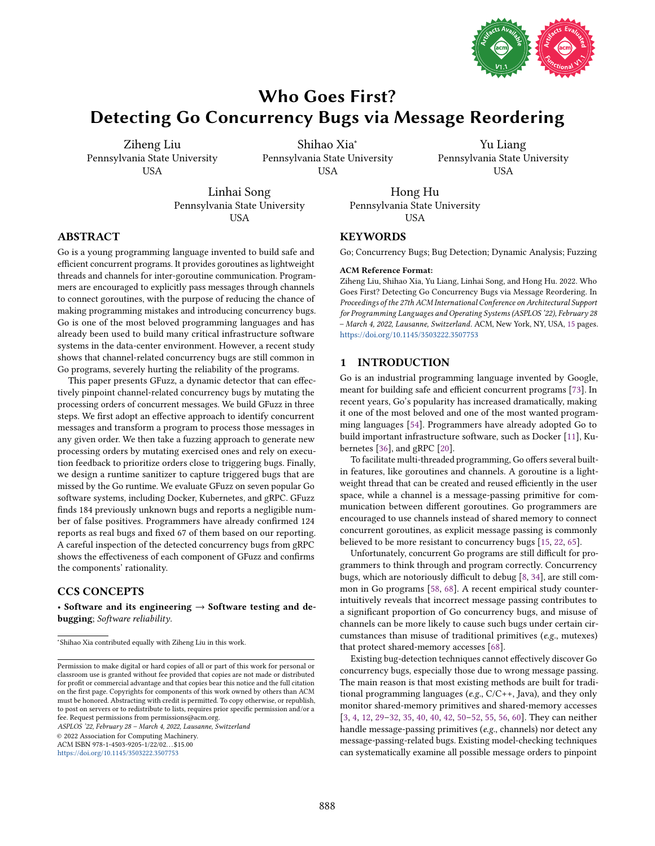

# <span id="page-0-0"></span>Who Goes First? Detecting Go Concurrency Bugs via Message Reordering

Ziheng Liu Pennsylvania State University USA

Shihao Xia<sup>∗</sup> Pennsylvania State University USA

Yu Liang Pennsylvania State University USA

Linhai Song Pennsylvania State University **USA** 

Pennsylvania State University **USA** 

Hong Hu

## ABSTRACT

Go is a young programming language invented to build safe and efficient concurrent programs. It provides goroutines as lightweight threads and channels for inter-goroutine communication. Programmers are encouraged to explicitly pass messages through channels to connect goroutines, with the purpose of reducing the chance of making programming mistakes and introducing concurrency bugs. Go is one of the most beloved programming languages and has already been used to build many critical infrastructure software systems in the data-center environment. However, a recent study shows that channel-related concurrency bugs are still common in Go programs, severely hurting the reliability of the programs.

This paper presents GFuzz, a dynamic detector that can effectively pinpoint channel-related concurrency bugs by mutating the processing orders of concurrent messages. We build GFuzz in three steps. We first adopt an effective approach to identify concurrent messages and transform a program to process those messages in any given order. We then take a fuzzing approach to generate new processing orders by mutating exercised ones and rely on execution feedback to prioritize orders close to triggering bugs. Finally, we design a runtime sanitizer to capture triggered bugs that are missed by the Go runtime. We evaluate GFuzz on seven popular Go software systems, including Docker, Kubernetes, and gRPC. GFuzz finds 184 previously unknown bugs and reports a negligible number of false positives. Programmers have already confirmed 124 reports as real bugs and fixed 67 of them based on our reporting. A careful inspection of the detected concurrency bugs from gRPC shows the effectiveness of each component of GFuzz and confirms the components' rationality.

#### CCS CONCEPTS

• Software and its engineering  $\rightarrow$  Software testing and debugging; Software reliability.

ASPLOS '22, February 28 - March 4, 2022, Lausanne, Switzerland

© 2022 Association for Computing Machinery.

ACM ISBN 978-1-4503-9205-1/22/02. . . \$15.00 <https://doi.org/10.1145/3503222.3507753>

**KEYWORDS** 

Go; Concurrency Bugs; Bug Detection; Dynamic Analysis; Fuzzing

#### ACM Reference Format:

Ziheng Liu, Shihao Xia, Yu Liang, Linhai Song, and Hong Hu. 2022. Who Goes First? Detecting Go Concurrency Bugs via Message Reordering. In Proceedings of the 27th ACM International Conference on Architectural Support for Programming Languages and Operating Systems (ASPLOS '22), February 28 - March 4, 2022, Lausanne, Switzerland. ACM, New York, NY, USA, [15](#page-14-0) pages. <https://doi.org/10.1145/3503222.3507753>

#### 1 INTRODUCTION

Go is an industrial programming language invented by Google, meant for building safe and efficient concurrent programs [\[73\]](#page-14-1). In recent years, Go's popularity has increased dramatically, making it one of the most beloved and one of the most wanted programming languages [\[54\]](#page-14-2). Programmers have already adopted Go to build important infrastructure software, such as Docker [\[11\]](#page-13-0), Kubernetes [\[36\]](#page-13-1), and gRPC [\[20\]](#page-13-2).

To facilitate multi-threaded programming, Go offers several builtin features, like goroutines and channels. A goroutine is a lightweight thread that can be created and reused efficiently in the user space, while a channel is a message-passing primitive for communication between different goroutines. Go programmers are encouraged to use channels instead of shared memory to connect concurrent goroutines, as explicit message passing is commonly believed to be more resistant to concurrency bugs [\[15,](#page-13-3) [22,](#page-13-4) [65\]](#page-14-3).

Unfortunately, concurrent Go programs are still difficult for programmers to think through and program correctly. Concurrency bugs, which are notoriously difficult to debug [\[8,](#page-13-5) [34\]](#page-13-6), are still common in Go programs [\[58,](#page-14-4) [68\]](#page-14-5). A recent empirical study counterintuitively reveals that incorrect message passing contributes to a significant proportion of Go concurrency bugs, and misuse of channels can be more likely to cause such bugs under certain circumstances than misuse of traditional primitives (e.g., mutexes) that protect shared-memory accesses [\[68\]](#page-14-5).

Existing bug-detection techniques cannot effectively discover Go concurrency bugs, especially those due to wrong message passing. The main reason is that most existing methods are built for traditional programming languages (e.g., C/C++, Java), and they only monitor shared-memory primitives and shared-memory accesses  $[3, 4, 12, 29-32, 35, 40, 40, 42, 50-52, 55, 56, 60]$  $[3, 4, 12, 29-32, 35, 40, 40, 42, 50-52, 55, 56, 60]$  $[3, 4, 12, 29-32, 35, 40, 40, 42, 50-52, 55, 56, 60]$  $[3, 4, 12, 29-32, 35, 40, 40, 42, 50-52, 55, 56, 60]$  $[3, 4, 12, 29-32, 35, 40, 40, 42, 50-52, 55, 56, 60]$  $[3, 4, 12, 29-32, 35, 40, 40, 42, 50-52, 55, 56, 60]$  $[3, 4, 12, 29-32, 35, 40, 40, 42, 50-52, 55, 56, 60]$  $[3, 4, 12, 29-32, 35, 40, 40, 42, 50-52, 55, 56, 60]$  $[3, 4, 12, 29-32, 35, 40, 40, 42, 50-52, 55, 56, 60]$  $[3, 4, 12, 29-32, 35, 40, 40, 42, 50-52, 55, 56, 60]$  $[3, 4, 12, 29-32, 35, 40, 40, 42, 50-52, 55, 56, 60]$  $[3, 4, 12, 29-32, 35, 40, 40, 42, 50-52, 55, 56, 60]$  $[3, 4, 12, 29-32, 35, 40, 40, 42, 50-52, 55, 56, 60]$  $[3, 4, 12, 29-32, 35, 40, 40, 42, 50-52, 55, 56, 60]$  $[3, 4, 12, 29-32, 35, 40, 40, 42, 50-52, 55, 56, 60]$  $[3, 4, 12, 29-32, 35, 40, 40, 42, 50-52, 55, 56, 60]$  $[3, 4, 12, 29-32, 35, 40, 40, 42, 50-52, 55, 56, 60]$  $[3, 4, 12, 29-32, 35, 40, 40, 42, 50-52, 55, 56, 60]$  $[3, 4, 12, 29-32, 35, 40, 40, 42, 50-52, 55, 56, 60]$  $[3, 4, 12, 29-32, 35, 40, 40, 42, 50-52, 55, 56, 60]$  $[3, 4, 12, 29-32, 35, 40, 40, 42, 50-52, 55, 56, 60]$ . They can neither handle message-passing primitives (e.g., channels) nor detect any message-passing-related bugs. Existing model-checking techniques can systematically examine all possible message orders to pinpoint

<sup>∗</sup> Shihao Xia contributed equally with Ziheng Liu in this work.

Permission to make digital or hard copies of all or part of this work for personal or classroom use is granted without fee provided that copies are not made or distributed for profit or commercial advantage and that copies bear this notice and the full citation on the first page. Copyrights for components of this work owned by others than ACM must be honored. Abstracting with credit is permitted. To copy otherwise, or republish, to post on servers or to redistribute to lists, requires prior specific permission and/or a fee. Request permissions from permissions@acm.org.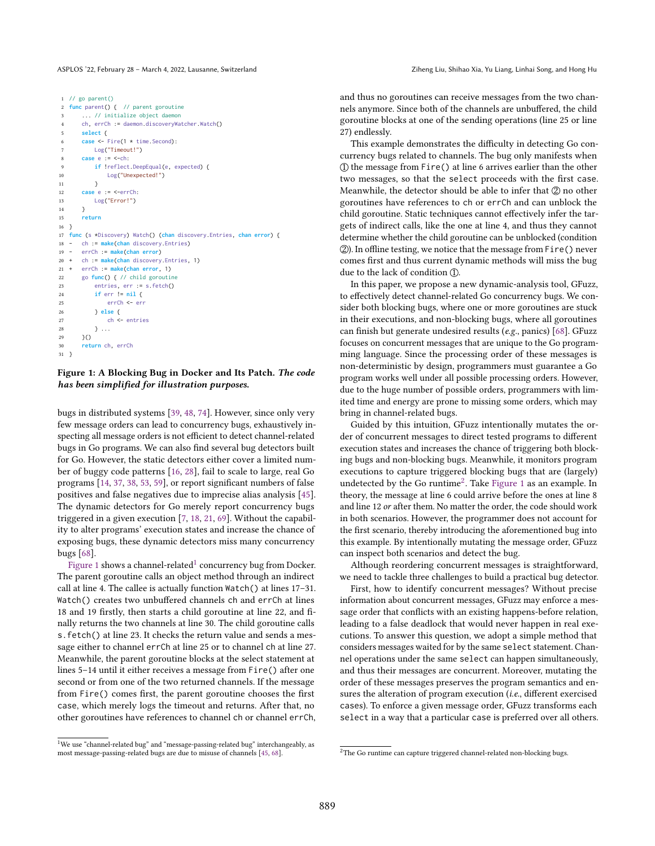```
1 // go parent()
  func parent() { // parent goroutine
      ... // initialize object daemon
      ch, errCh := daemon.discoveryWatcher.Watch()
      5 select {
6 case <- Fire(1 * time.Second):
7 Log("Timeout!")
8 case e := <-ch:
9 if !reflect.DeepEqual(e, expected) {
10 Log("Unexpected!")
11 }
12 case e := <-errCh:
13 Log("Error!")
14 }
15 return
16 }
17 func (s *Discovery) Watch() (chan discovery.Entries, chan error) {
18 - ch := make(chan discovery.Entries)
     19 - errCh := make(chan error)
20 + ch := make(chan discovery.Entries, 1)
21 + errCh := make(chan error, 1)
22 go func() { // child goroutine
23 entries, err := s.fetch()
24 if err != nil {
25 errCh <- err
26 } else {
27 ch <- entries
28 } ...
29 \t3()30 return ch, errCh
31 }
```
#### Figure 1: A Blocking Bug in Docker and Its Patch. The code has been simplified for illustration purposes.

bugs in distributed systems [\[39,](#page-13-15) [48,](#page-14-11) [74\]](#page-14-12). However, since only very few message orders can lead to concurrency bugs, exhaustively inspecting all message orders is not efficient to detect channel-related bugs in Go programs. We can also find several bug detectors built for Go. However, the static detectors either cover a limited number of buggy code patterns [\[16,](#page-13-16) [28\]](#page-13-17), fail to scale to large, real Go programs [\[14,](#page-13-18) [37,](#page-13-19) [38,](#page-13-20) [53,](#page-14-13) [59\]](#page-14-14), or report significant numbers of false positives and false negatives due to imprecise alias analysis [\[45\]](#page-13-21). The dynamic detectors for Go merely report concurrency bugs triggered in a given execution [\[7,](#page-13-22) [18,](#page-13-23) [21,](#page-13-24) [69\]](#page-14-15). Without the capability to alter programs' execution states and increase the chance of exposing bugs, these dynamic detectors miss many concurrency bugs [\[68\]](#page-14-5).

 $\overline{\mathrm{F}}$ igure [1](#page-0-0) shows a channel-related $^1$  concurrency bug from Docker. The parent goroutine calls an object method through an indirect call at line 4. The callee is actually function  $\text{Watch}()$  at lines 17-31. Watch() creates two unbuffered channels ch and errCh at lines 18 and 19 firstly, then starts a child goroutine at line 22, and finally returns the two channels at line 30. The child goroutine calls s.fetch() at line 23. It checks the return value and sends a message either to channel errCh at line 25 or to channel ch at line 27. Meanwhile, the parent goroutine blocks at the select statement at lines 5-14 until it either receives a message from Fire() after one second or from one of the two returned channels. If the message from Fire() comes first, the parent goroutine chooses the first case, which merely logs the timeout and returns. After that, no other goroutines have references to channel ch or channel errCh,

 $1$ We use "channel-related bug" and "message-passing-related bug" interchangeably, as most message-passing-related bugs are due to misuse of channels [\[45,](#page-13-21) [68\]](#page-14-5).

and thus no goroutines can receive messages from the two channels anymore. Since both of the channels are unbuffered, the child goroutine blocks at one of the sending operations (line 25 or line 27) endlessly.

This example demonstrates the difficulty in detecting Go concurrency bugs related to channels. The bug only manifests when  $\Omega$  the message from Fire() at line 6 arrives earlier than the other two messages, so that the select proceeds with the first case. Meanwhile, the detector should be able to infer that  $\mathcal{D}$  no other goroutines have references to ch or errCh and can unblock the child goroutine. Static techniques cannot effectively infer the targets of indirect calls, like the one at line 4, and thus they cannot determine whether the child goroutine can be unblocked (condition (2). In offline testing, we notice that the message from Fire() never comes first and thus current dynamic methods will miss the bug due to the lack of condition  $(1)$ .

In this paper, we propose a new dynamic-analysis tool, GFuzz, to effectively detect channel-related Go concurrency bugs. We consider both blocking bugs, where one or more goroutines are stuck in their executions, and non-blocking bugs, where all goroutines can finish but generate undesired results (e.g., panics) [\[68\]](#page-14-5). GFuzz focuses on concurrent messages that are unique to the Go programming language. Since the processing order of these messages is non-deterministic by design, programmers must guarantee a Go program works well under all possible processing orders. However, due to the huge number of possible orders, programmers with limited time and energy are prone to missing some orders, which may bring in channel-related bugs.

Guided by this intuition, GFuzz intentionally mutates the order of concurrent messages to direct tested programs to different execution states and increases the chance of triggering both blocking bugs and non-blocking bugs. Meanwhile, it monitors program executions to capture triggered blocking bugs that are (largely) undetected by the Go runtime<sup>[2](#page-0-0)</sup>. Take [Figure 1](#page-1-0) as an example. In theory, the message at line 6 could arrive before the ones at line 8 and line 12 or after them. No matter the order, the code should work in both scenarios. However, the programmer does not account for the first scenario, thereby introducing the aforementioned bug into this example. By intentionally mutating the message order, GFuzz can inspect both scenarios and detect the bug.

Although reordering concurrent messages is straightforward, we need to tackle three challenges to build a practical bug detector.

First, how to identify concurrent messages? Without precise information about concurrent messages, GFuzz may enforce a message order that conflicts with an existing happens-before relation, leading to a false deadlock that would never happen in real executions. To answer this question, we adopt a simple method that considers messages waited for by the same select statement. Channel operations under the same select can happen simultaneously, and thus their messages are concurrent. Moreover, mutating the order of these messages preserves the program semantics and ensures the alteration of program execution (i.e., different exercised cases). To enforce a given message order, GFuzz transforms each select in a way that a particular case is preferred over all others.

<sup>&</sup>lt;sup>2</sup>The Go runtime can capture triggered channel-related non-blocking bugs.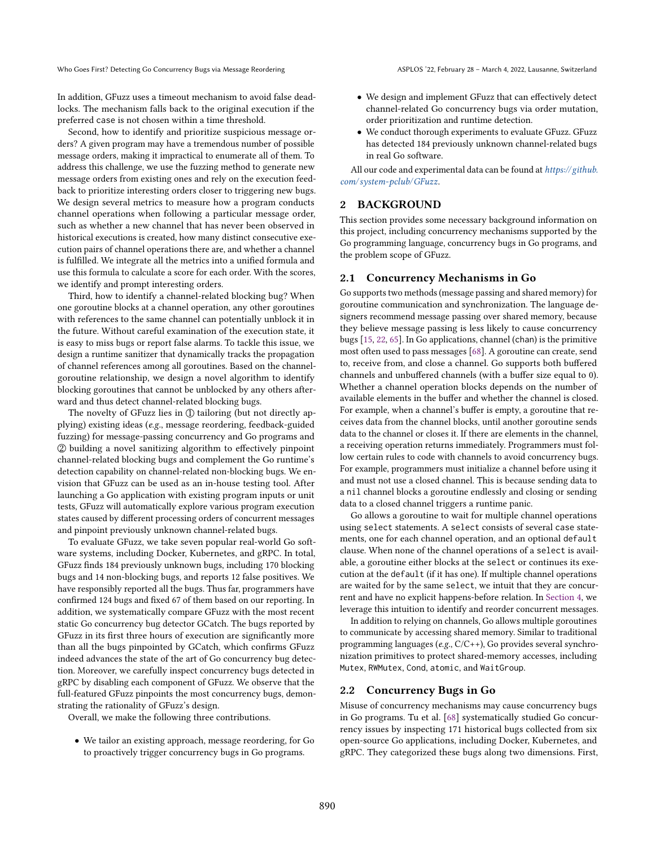In addition, GFuzz uses a timeout mechanism to avoid false deadlocks. The mechanism falls back to the original execution if the preferred case is not chosen within a time threshold.

Second, how to identify and prioritize suspicious message orders? A given program may have a tremendous number of possible message orders, making it impractical to enumerate all of them. To address this challenge, we use the fuzzing method to generate new message orders from existing ones and rely on the execution feedback to prioritize interesting orders closer to triggering new bugs. We design several metrics to measure how a program conducts channel operations when following a particular message order, such as whether a new channel that has never been observed in historical executions is created, how many distinct consecutive execution pairs of channel operations there are, and whether a channel is fulfilled. We integrate all the metrics into a unified formula and use this formula to calculate a score for each order. With the scores, we identify and prompt interesting orders.

Third, how to identify a channel-related blocking bug? When one goroutine blocks at a channel operation, any other goroutines with references to the same channel can potentially unblock it in the future. Without careful examination of the execution state, it is easy to miss bugs or report false alarms. To tackle this issue, we design a runtime sanitizer that dynamically tracks the propagation of channel references among all goroutines. Based on the channelgoroutine relationship, we design a novel algorithm to identify blocking goroutines that cannot be unblocked by any others afterward and thus detect channel-related blocking bugs.

The novelty of GFuzz lies in  $\mathbb D$  tailoring (but not directly applying) existing ideas (e.g., message reordering, feedback-guided fuzzing) for message-passing concurrency and Go programs and 2 building a novel sanitizing algorithm to effectively pinpoint channel-related blocking bugs and complement the Go runtime's detection capability on channel-related non-blocking bugs. We envision that GFuzz can be used as an in-house testing tool. After launching a Go application with existing program inputs or unit tests, GFuzz will automatically explore various program execution states caused by different processing orders of concurrent messages and pinpoint previously unknown channel-related bugs.

To evaluate GFuzz, we take seven popular real-world Go software systems, including Docker, Kubernetes, and gRPC. In total, GFuzz finds 184 previously unknown bugs, including 170 blocking bugs and 14 non-blocking bugs, and reports 12 false positives. We have responsibly reported all the bugs. Thus far, programmers have confirmed 124 bugs and fixed 67 of them based on our reporting. In addition, we systematically compare GFuzz with the most recent static Go concurrency bug detector GCatch. The bugs reported by GFuzz in its first three hours of execution are significantly more than all the bugs pinpointed by GCatch, which confirms GFuzz indeed advances the state of the art of Go concurrency bug detection. Moreover, we carefully inspect concurrency bugs detected in gRPC by disabling each component of GFuzz. We observe that the full-featured GFuzz pinpoints the most concurrency bugs, demonstrating the rationality of GFuzz's design.

Overall, we make the following three contributions.

• We tailor an existing approach, message reordering, for Go to proactively trigger concurrency bugs in Go programs.

- We design and implement GFuzz that can effectively detect channel-related Go concurrency bugs via order mutation, order prioritization and runtime detection.
- We conduct thorough experiments to evaluate GFuzz. GFuzz has detected 184 previously unknown channel-related bugs in real Go software.

All our code and experimental data can be found at [https://github.](https://github.com/system-pclub/GFuzz) [com/ system-pclub/GFuzz](https://github.com/system-pclub/GFuzz).

#### <span id="page-2-0"></span>2 BACKGROUND

This section provides some necessary background information on this project, including concurrency mechanisms supported by the Go programming language, concurrency bugs in Go programs, and the problem scope of GFuzz.

#### 2.1 Concurrency Mechanisms in Go

Go supports two methods (message passing and shared memory) for goroutine communication and synchronization. The language designers recommend message passing over shared memory, because they believe message passing is less likely to cause concurrency bugs [\[15,](#page-13-3) [22,](#page-13-4) [65\]](#page-14-3). In Go applications, channel (chan) is the primitive most often used to pass messages [\[68\]](#page-14-5). A goroutine can create, send to, receive from, and close a channel. Go supports both buffered channels and unbuffered channels (with a buffer size equal to 0). Whether a channel operation blocks depends on the number of available elements in the buffer and whether the channel is closed. For example, when a channel's buffer is empty, a goroutine that receives data from the channel blocks, until another goroutine sends data to the channel or closes it. If there are elements in the channel, a receiving operation returns immediately. Programmers must follow certain rules to code with channels to avoid concurrency bugs. For example, programmers must initialize a channel before using it and must not use a closed channel. This is because sending data to a nil channel blocks a goroutine endlessly and closing or sending data to a closed channel triggers a runtime panic.

Go allows a goroutine to wait for multiple channel operations using select statements. A select consists of several case statements, one for each channel operation, and an optional default clause. When none of the channel operations of a select is available, a goroutine either blocks at the select or continues its execution at the default (if it has one). If multiple channel operations are waited for by the same select, we intuit that they are concurrent and have no explicit happens-before relation. In [Section 4,](#page-3-0) we leverage this intuition to identify and reorder concurrent messages.

In addition to relying on channels, Go allows multiple goroutines to communicate by accessing shared memory. Similar to traditional programming languages (e.g., C/C++), Go provides several synchronization primitives to protect shared-memory accesses, including Mutex, RWMutex, Cond, atomic, and WaitGroup.

#### 2.2 Concurrency Bugs in Go

Misuse of concurrency mechanisms may cause concurrency bugs in Go programs. Tu et al. [\[68\]](#page-14-5) systematically studied Go concurrency issues by inspecting 171 historical bugs collected from six open-source Go applications, including Docker, Kubernetes, and gRPC. They categorized these bugs along two dimensions. First,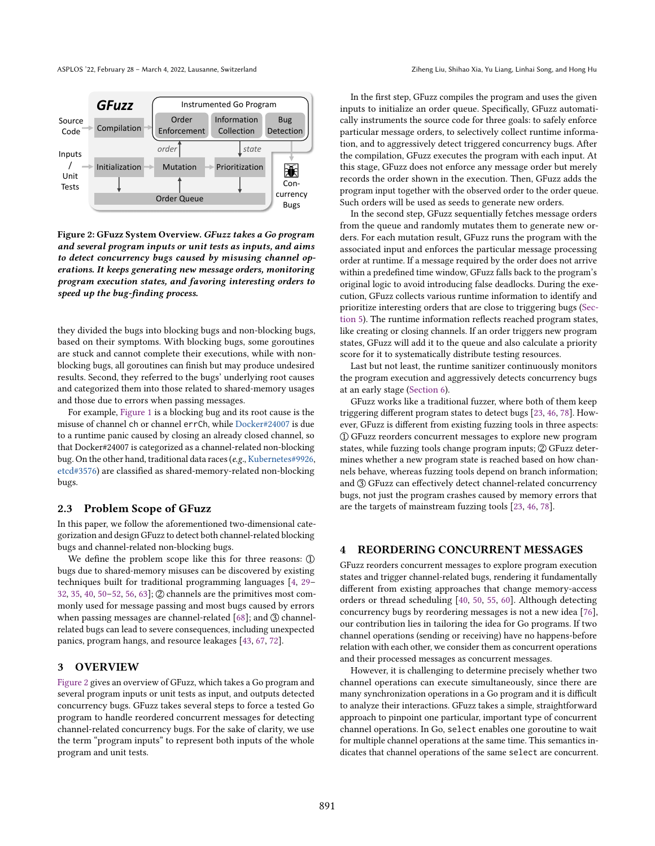<span id="page-3-1"></span>

Figure 2: GFuzz System Overview. GFuzz takes a Go program and several program inputs or unit tests as inputs, and aims to detect concurrency bugs caused by misusing channel operations. It keeps generating new message orders, monitoring program execution states, and favoring interesting orders to speed up the bug-finding process.

they divided the bugs into blocking bugs and non-blocking bugs, based on their symptoms. With blocking bugs, some goroutines are stuck and cannot complete their executions, while with nonblocking bugs, all goroutines can finish but may produce undesired results. Second, they referred to the bugs' underlying root causes and categorized them into those related to shared-memory usages and those due to errors when passing messages.

For example, [Figure 1](#page-1-0) is a blocking bug and its root cause is the misuse of channel ch or channel errCh, while [Docker#24007](https://github.com/moby/moby/pull/24007) is due to a runtime panic caused by closing an already closed channel, so that Docker#24007 is categorized as a channel-related non-blocking bug. On the other hand, traditional data races (e.g., [Kubernetes#9926,](https://github.com/kubernetes/kubernetes/pull/9926) [etcd#3576\)](https://github.com/etcd-io/etcd/issues/3576) are classified as shared-memory-related non-blocking bugs.

#### 2.3 Problem Scope of GFuzz

In this paper, we follow the aforementioned two-dimensional categorization and design GFuzz to detect both channel-related blocking bugs and channel-related non-blocking bugs.

We define the problem scope like this for three reasons:  $$\mathbb{D}$$ bugs due to shared-memory misuses can be discovered by existing techniques built for traditional programming languages [\[4,](#page-13-8) 29-[32,](#page-13-11) [35,](#page-13-12) [40,](#page-13-13) 50-[52,](#page-14-7) [56,](#page-14-9) [63\]](#page-14-16);  $\mathcal{D}$  channels are the primitives most commonly used for message passing and most bugs caused by errors when passing messages are channel-related  $[68]$ ; and  $(3)$  channelrelated bugs can lead to severe consequences, including unexpected panics, program hangs, and resource leakages [\[43,](#page-13-25) [67,](#page-14-17) [72\]](#page-14-18).

## 3 OVERVIEW

[Figure 2](#page-3-1) gives an overview of GFuzz, which takes a Go program and several program inputs or unit tests as input, and outputs detected concurrency bugs. GFuzz takes several steps to force a tested Go program to handle reordered concurrent messages for detecting channel-related concurrency bugs. For the sake of clarity, we use the term "program inputs" to represent both inputs of the whole program and unit tests.

In the first step, GFuzz compiles the program and uses the given inputs to initialize an order queue. Specifically, GFuzz automatically instruments the source code for three goals: to safely enforce particular message orders, to selectively collect runtime information, and to aggressively detect triggered concurrency bugs. After the compilation, GFuzz executes the program with each input. At this stage, GFuzz does not enforce any message order but merely records the order shown in the execution. Then, GFuzz adds the program input together with the observed order to the order queue. Such orders will be used as seeds to generate new orders.

In the second step, GFuzz sequentially fetches message orders from the queue and randomly mutates them to generate new orders. For each mutation result, GFuzz runs the program with the associated input and enforces the particular message processing order at runtime. If a message required by the order does not arrive within a predefined time window, GFuzz falls back to the program's original logic to avoid introducing false deadlocks. During the execution, GFuzz collects various runtime information to identify and prioritize interesting orders that are close to triggering bugs [\(Sec](#page-5-0)[tion 5\)](#page-5-0). The runtime information reflects reached program states, like creating or closing channels. If an order triggers new program states, GFuzz will add it to the queue and also calculate a priority score for it to systematically distribute testing resources.

Last but not least, the runtime sanitizer continuously monitors the program execution and aggressively detects concurrency bugs at an early stage [\(Section 6\)](#page-6-0).

GFuzz works like a traditional fuzzer, where both of them keep triggering different program states to detect bugs [\[23,](#page-13-26) [46,](#page-13-27) [78\]](#page-14-19). However, GFuzz is different from existing fuzzing tools in three aspects: 1 GFuzz reorders concurrent messages to explore new program states, while fuzzing tools change program inputs; 2 GFuzz determines whether a new program state is reached based on how channels behave, whereas fuzzing tools depend on branch information; and  $\textcircled{3}$  GFuzz can effectively detect channel-related concurrency bugs, not just the program crashes caused by memory errors that are the targets of mainstream fuzzing tools [\[23,](#page-13-26) [46,](#page-13-27) [78\]](#page-14-19).

#### <span id="page-3-0"></span>4 REORDERING CONCURRENT MESSAGES

GFuzz reorders concurrent messages to explore program execution states and trigger channel-related bugs, rendering it fundamentally different from existing approaches that change memory-access orders or thread scheduling [\[40,](#page-13-13) [50,](#page-14-6) [55,](#page-14-8) [60\]](#page-14-10). Although detecting concurrency bugs by reordering messages is not a new idea [\[76\]](#page-14-20), our contribution lies in tailoring the idea for Go programs. If two channel operations (sending or receiving) have no happens-before relation with each other, we consider them as concurrent operations and their processed messages as concurrent messages.

However, it is challenging to determine precisely whether two channel operations can execute simultaneously, since there are many synchronization operations in a Go program and it is difficult to analyze their interactions. GFuzz takes a simple, straightforward approach to pinpoint one particular, important type of concurrent channel operations. In Go, select enables one goroutine to wait for multiple channel operations at the same time. This semantics indicates that channel operations of the same select are concurrent.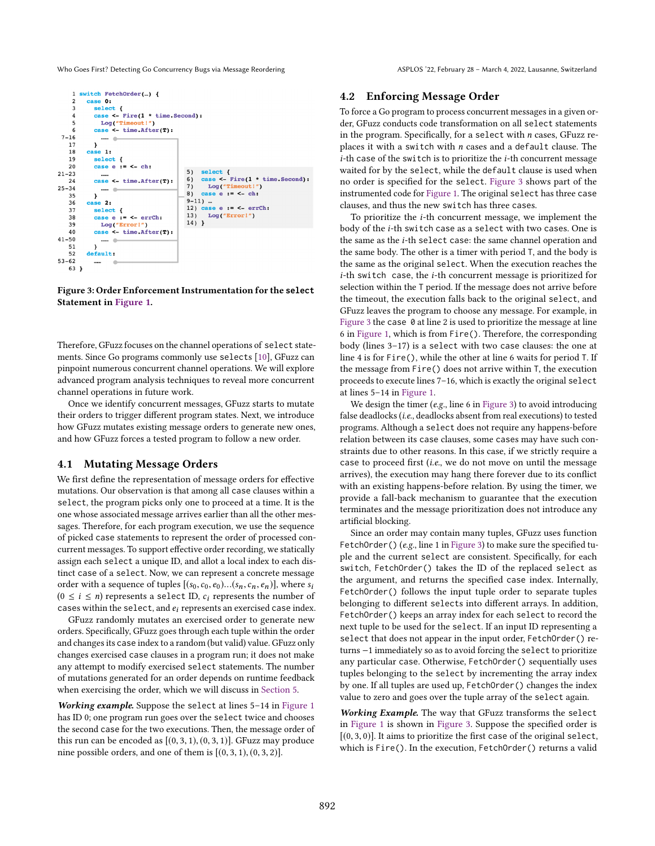<span id="page-4-0"></span>

Figure 3: Order Enforcement Instrumentation for the **select** Statement in [Figure 1.](#page-1-0)

Therefore, GFuzz focuses on the channel operations of select statements. Since Go programs commonly use selects [\[10\]](#page-13-28), GFuzz can pinpoint numerous concurrent channel operations. We will explore advanced program analysis techniques to reveal more concurrent channel operations in future work.

Once we identify concurrent messages, GFuzz starts to mutate their orders to trigger different program states. Next, we introduce how GFuzz mutates existing message orders to generate new ones, and how GFuzz forces a tested program to follow a new order.

#### 4.1 Mutating Message Orders

We first define the representation of message orders for effective mutations. Our observation is that among all case clauses within a select, the program picks only one to proceed at a time. It is the one whose associated message arrives earlier than all the other messages. Therefore, for each program execution, we use the sequence of picked case statements to represent the order of processed concurrent messages. To support effective order recording, we statically assign each select a unique ID, and allot a local index to each distinct case of a select. Now, we can represent a concrete message order with a sequence of tuples  $[(s_0,c_0,e_0)...(s_n,c_n,e_n)],$  where  $s_i$  $(0 \le i \le n)$  represents a select ID,  $c_i$  represents the number of cases within the select, and  $e_i$  represents an exercised case index.

GFuzz randomly mutates an exercised order to generate new orders. Specifically, GFuzz goes through each tuple within the order and changes its case index to a random (but valid) value. GFuzz only changes exercised case clauses in a program run; it does not make any attempt to modify exercised select statements. The number of mutations generated for an order depends on runtime feedback when exercising the order, which we will discuss in [Section 5.](#page-5-0)

Working example. Suppose the select at lines 5-14 in [Figure 1](#page-1-0) has ID 0; one program run goes over the select twice and chooses the second case for the two executions. Then, the message order of this run can be encoded as  $[(0, 3, 1), (0, 3, 1)]$ . GFuzz may produce nine possible orders, and one of them is  $[(0, 3, 1), (0, 3, 2)].$ 

#### 4.2 Enforcing Message Order

To force a Go program to process concurrent messages in a given order, GFuzz conducts code transformation on all select statements in the program. Specifically, for a select with  $n$  cases, GFuzz replaces it with a switch with  $n$  cases and a default clause. The  $i$ -th case of the switch is to prioritize the  $i$ -th concurrent message waited for by the select, while the default clause is used when no order is specified for the select. [Figure 3](#page-4-0) shows part of the instrumented code for [Figure 1.](#page-1-0) The original select has three case clauses, and thus the new switch has three cases.

To prioritize the i-th concurrent message, we implement the body of the i-th switch case as a select with two cases. One is the same as the *i*-th select case: the same channel operation and the same body. The other is a timer with period T, and the body is the same as the original select. When the execution reaches the i-th switch case, the i-th concurrent message is prioritized for selection within the T period. If the message does not arrive before the timeout, the execution falls back to the original select, and GFuzz leaves the program to choose any message. For example, in [Figure 3](#page-4-0) the case 0 at line 2 is used to prioritize the message at line 6 in [Figure 1,](#page-1-0) which is from Fire(). Therefore, the corresponding body (lines  $3-17$ ) is a select with two case clauses: the one at line 4 is for Fire(), while the other at line 6 waits for period T. If the message from Fire() does not arrive within T, the execution proceeds to execute lines 7-16, which is exactly the original select at lines  $5-14$  in [Figure 1.](#page-1-0)

We design the timer (e.g., line 6 in [Figure 3\)](#page-4-0) to avoid introducing false deadlocks (i.e., deadlocks absent from real executions) to tested programs. Although a select does not require any happens-before relation between its case clauses, some cases may have such constraints due to other reasons. In this case, if we strictly require a case to proceed first (i.e., we do not move on until the message arrives), the execution may hang there forever due to its conflict with an existing happens-before relation. By using the timer, we provide a fall-back mechanism to guarantee that the execution terminates and the message prioritization does not introduce any artificial blocking.

Since an order may contain many tuples, GFuzz uses function FetchOrder() (e.g., line 1 in [Figure 3\)](#page-4-0) to make sure the specified tuple and the current select are consistent. Specifically, for each switch, FetchOrder() takes the ID of the replaced select as the argument, and returns the specified case index. Internally, FetchOrder() follows the input tuple order to separate tuples belonging to different selects into different arrays. In addition, FetchOrder() keeps an array index for each select to record the next tuple to be used for the select. If an input ID representing a select that does not appear in the input order, FetchOrder() returns −1 immediately so as to avoid forcing the select to prioritize any particular case. Otherwise, FetchOrder() sequentially uses tuples belonging to the select by incrementing the array index by one. If all tuples are used up, FetchOrder() changes the index value to zero and goes over the tuple array of the select again.

Working Example. The way that GFuzz transforms the select in [Figure 1](#page-1-0) is shown in [Figure 3.](#page-4-0) Suppose the specified order is  $[(0, 3, 0)]$ . It aims to prioritize the first case of the original select, which is Fire(). In the execution, FetchOrder() returns a valid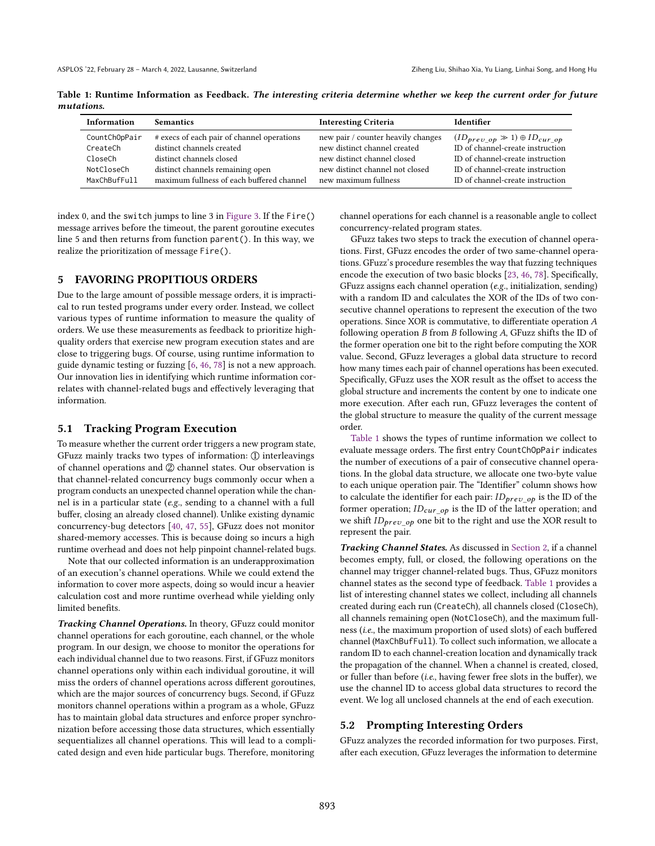<span id="page-5-1"></span>Table 1: Runtime Information as Feedback. The interesting criteria determine whether we keep the current order for future mutations.

| <b>Information</b> | <b>Semantics</b>                           | <b>Interesting Criteria</b>        | Identifier                                  |
|--------------------|--------------------------------------------|------------------------------------|---------------------------------------------|
| CountChOpPair      | # execs of each pair of channel operations | new pair / counter heavily changes | $(ID_{prev\_op} \gg 1) \oplus ID_{cur\_op}$ |
| CreateCh           | distinct channels created                  | new distinct channel created       | ID of channel-create instruction            |
| CloseCh            | distinct channels closed                   | new distinct channel closed        | ID of channel-create instruction            |
| NotCloseCh         | distinct channels remaining open           | new distinct channel not closed    | ID of channel-create instruction            |
| MaxChBufFull       | maximum fullness of each buffered channel  | new maximum fullness               | ID of channel-create instruction            |

index 0, and the switch jumps to line 3 in [Figure 3.](#page-4-0) If the Fire() message arrives before the timeout, the parent goroutine executes line 5 and then returns from function parent(). In this way, we realize the prioritization of message Fire().

#### <span id="page-5-0"></span>5 FAVORING PROPITIOUS ORDERS

Due to the large amount of possible message orders, it is impractical to run tested programs under every order. Instead, we collect various types of runtime information to measure the quality of orders. We use these measurements as feedback to prioritize highquality orders that exercise new program execution states and are close to triggering bugs. Of course, using runtime information to guide dynamic testing or fuzzing [\[6,](#page-13-29) [46,](#page-13-27) [78\]](#page-14-19) is not a new approach. Our innovation lies in identifying which runtime information correlates with channel-related bugs and effectively leveraging that information.

#### 5.1 Tracking Program Execution

To measure whether the current order triggers a new program state, GFuzz mainly tracks two types of information: ① interleavings of channel operations and  $\oslash$  channel states. Our observation is that channel-related concurrency bugs commonly occur when a program conducts an unexpected channel operation while the channel is in a particular state (e.g., sending to a channel with a full buffer, closing an already closed channel). Unlike existing dynamic concurrency-bug detectors [\[40,](#page-13-13) [47,](#page-13-30) [55\]](#page-14-8), GFuzz does not monitor shared-memory accesses. This is because doing so incurs a high runtime overhead and does not help pinpoint channel-related bugs.

Note that our collected information is an underapproximation of an execution's channel operations. While we could extend the information to cover more aspects, doing so would incur a heavier calculation cost and more runtime overhead while yielding only limited benefits.

Tracking Channel Operations. In theory, GFuzz could monitor channel operations for each goroutine, each channel, or the whole program. In our design, we choose to monitor the operations for each individual channel due to two reasons. First, if GFuzz monitors channel operations only within each individual goroutine, it will miss the orders of channel operations across different goroutines, which are the major sources of concurrency bugs. Second, if GFuzz monitors channel operations within a program as a whole, GFuzz has to maintain global data structures and enforce proper synchronization before accessing those data structures, which essentially sequentializes all channel operations. This will lead to a complicated design and even hide particular bugs. Therefore, monitoring

channel operations for each channel is a reasonable angle to collect concurrency-related program states.

GFuzz takes two steps to track the execution of channel operations. First, GFuzz encodes the order of two same-channel operations. GFuzz's procedure resembles the way that fuzzing techniques encode the execution of two basic blocks [\[23,](#page-13-26) [46,](#page-13-27) [78\]](#page-14-19). Specifically, GFuzz assigns each channel operation (e.g., initialization, sending) with a random ID and calculates the XOR of the IDs of two consecutive channel operations to represent the execution of the two operations. Since XOR is commutative, to differentiate operation A following operation  $B$  from  $B$  following  $A$ , GFuzz shifts the ID of the former operation one bit to the right before computing the XOR value. Second, GFuzz leverages a global data structure to record how many times each pair of channel operations has been executed. Specifically, GFuzz uses the XOR result as the offset to access the global structure and increments the content by one to indicate one more execution. After each run, GFuzz leverages the content of the global structure to measure the quality of the current message order.

[Table 1](#page-5-1) shows the types of runtime information we collect to evaluate message orders. The first entry CountChOpPair indicates the number of executions of a pair of consecutive channel operations. In the global data structure, we allocate one two-byte value to each unique operation pair. The "Identifier" column shows how to calculate the identifier for each pair:  $ID_{prev\_op}$  is the ID of the former operation;  $ID_{cur\_op}$  is the ID of the latter operation; and we shift  $ID_{prev\ op}$  one bit to the right and use the XOR result to represent the pair.

Tracking Channel States. As discussed in [Section 2,](#page-2-0) if a channel becomes empty, full, or closed, the following operations on the channel may trigger channel-related bugs. Thus, GFuzz monitors channel states as the second type of feedback. [Table 1](#page-5-1) provides a list of interesting channel states we collect, including all channels created during each run (CreateCh), all channels closed (CloseCh), all channels remaining open (NotCloseCh), and the maximum fullness (i.e., the maximum proportion of used slots) of each buffered channel (MaxChBufFull). To collect such information, we allocate a random ID to each channel-creation location and dynamically track the propagation of the channel. When a channel is created, closed, or fuller than before (i.e., having fewer free slots in the buffer), we use the channel ID to access global data structures to record the event. We log all unclosed channels at the end of each execution.

#### 5.2 Prompting Interesting Orders

GFuzz analyzes the recorded information for two purposes. First, after each execution, GFuzz leverages the information to determine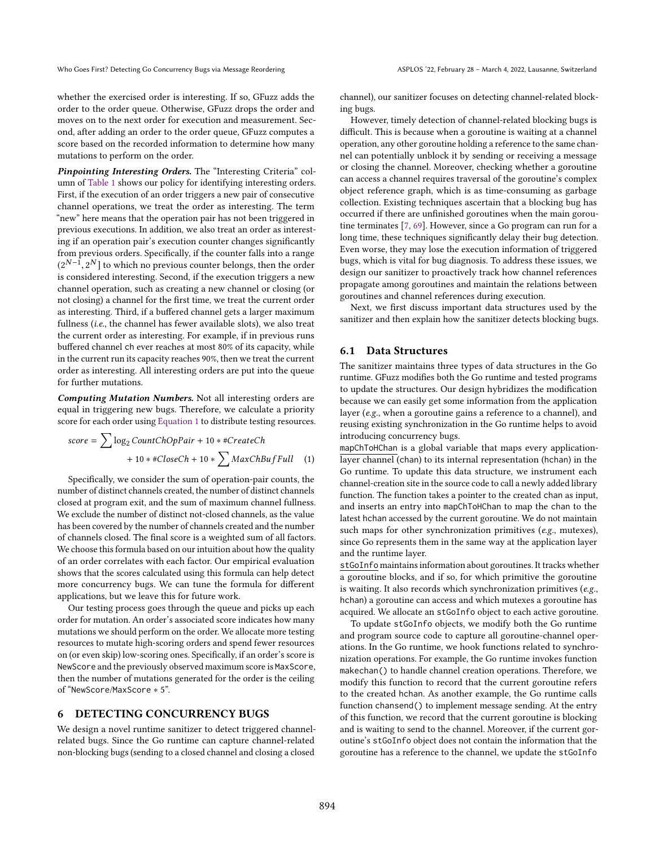whether the exercised order is interesting. If so, GFuzz adds the order to the order queue. Otherwise, GFuzz drops the order and moves on to the next order for execution and measurement. Second, after adding an order to the order queue, GFuzz computes a score based on the recorded information to determine how many mutations to perform on the order.

Pinpointing Interesting Orders. The "Interesting Criteria" column of [Table 1](#page-5-1) shows our policy for identifying interesting orders. First, if the execution of an order triggers a new pair of consecutive channel operations, we treat the order as interesting. The term "new" here means that the operation pair has not been triggered in previous executions. In addition, we also treat an order as interesting if an operation pair's execution counter changes significantly from previous orders. Specifically, if the counter falls into a range  $(2^{N-1}, 2^N]$  to which no previous counter belongs, then the order is considered interesting. Second, if the execution triggers a new channel operation, such as creating a new channel or closing (or not closing) a channel for the first time, we treat the current order as interesting. Third, if a buffered channel gets a larger maximum fullness (i.e., the channel has fewer available slots), we also treat the current order as interesting. For example, if in previous runs buffered channel ch ever reaches at most 80% of its capacity, while in the current run its capacity reaches 90%, then we treat the current order as interesting. All interesting orders are put into the queue for further mutations.

Computing Mutation Numbers. Not all interesting orders are equal in triggering new bugs. Therefore, we calculate a priority score for each order using [Equation 1](#page-6-1) to distribute testing resources.

$$
score = \sum \log_2 CountChOpPair + 10 * #CreateCh + 10 * #CloseCh + 10 * \sum MaxChBufFull
$$
 (1)

Specifically, we consider the sum of operation-pair counts, the number of distinct channels created, the number of distinct channels closed at program exit, and the sum of maximum channel fullness. We exclude the number of distinct not-closed channels, as the value has been covered by the number of channels created and the number of channels closed. The final score is a weighted sum of all factors. We choose this formula based on our intuition about how the quality of an order correlates with each factor. Our empirical evaluation shows that the scores calculated using this formula can help detect more concurrency bugs. We can tune the formula for different applications, but we leave this for future work.

Our testing process goes through the queue and picks up each order for mutation. An order's associated score indicates how many mutations we should perform on the order. We allocate more testing resources to mutate high-scoring orders and spend fewer resources on (or even skip) low-scoring ones. Specifically, if an order's score is NewScore and the previously observed maximum score is MaxScore, then the number of mutations generated for the order is the ceiling of "NewScore/MaxScore \* 5".

## <span id="page-6-0"></span>6 DETECTING CONCURRENCY BUGS

We design a novel runtime sanitizer to detect triggered channelrelated bugs. Since the Go runtime can capture channel-related non-blocking bugs (sending to a closed channel and closing a closed

channel), our sanitizer focuses on detecting channel-related blocking bugs.

However, timely detection of channel-related blocking bugs is difficult. This is because when a goroutine is waiting at a channel operation, any other goroutine holding a reference to the same channel can potentially unblock it by sending or receiving a message or closing the channel. Moreover, checking whether a goroutine can access a channel requires traversal of the goroutine's complex object reference graph, which is as time-consuming as garbage collection. Existing techniques ascertain that a blocking bug has occurred if there are unfinished goroutines when the main goroutine terminates [\[7,](#page-13-22) [69\]](#page-14-15). However, since a Go program can run for a long time, these techniques significantly delay their bug detection. Even worse, they may lose the execution information of triggered bugs, which is vital for bug diagnosis. To address these issues, we design our sanitizer to proactively track how channel references propagate among goroutines and maintain the relations between goroutines and channel references during execution.

Next, we first discuss important data structures used by the sanitizer and then explain how the sanitizer detects blocking bugs.

#### 6.1 Data Structures

The sanitizer maintains three types of data structures in the Go runtime. GFuzz modifies both the Go runtime and tested programs to update the structures. Our design hybridizes the modification because we can easily get some information from the application layer (e.g., when a goroutine gains a reference to a channel), and reusing existing synchronization in the Go runtime helps to avoid introducing concurrency bugs.

<span id="page-6-1"></span>mapChToHChan is a global variable that maps every applicationlayer channel (chan) to its internal representation (hchan) in the Go runtime. To update this data structure, we instrument each channel-creation site in the source code to call a newly added library function. The function takes a pointer to the created chan as input, and inserts an entry into mapChToHChan to map the chan to the latest hchan accessed by the current goroutine. We do not maintain such maps for other synchronization primitives (e.g., mutexes), since Go represents them in the same way at the application layer and the runtime layer.

stGoInfo maintains information about goroutines. It tracks whether a goroutine blocks, and if so, for which primitive the goroutine is waiting. It also records which synchronization primitives (e.g., hchan) a goroutine can access and which mutexes a goroutine has acquired. We allocate an stGoInfo object to each active goroutine.

To update stGoInfo objects, we modify both the Go runtime and program source code to capture all goroutine-channel operations. In the Go runtime, we hook functions related to synchronization operations. For example, the Go runtime invokes function makechan() to handle channel creation operations. Therefore, we modify this function to record that the current goroutine refers to the created hchan. As another example, the Go runtime calls function chansend() to implement message sending. At the entry of this function, we record that the current goroutine is blocking and is waiting to send to the channel. Moreover, if the current goroutine's stGoInfo object does not contain the information that the goroutine has a reference to the channel, we update the stGoInfo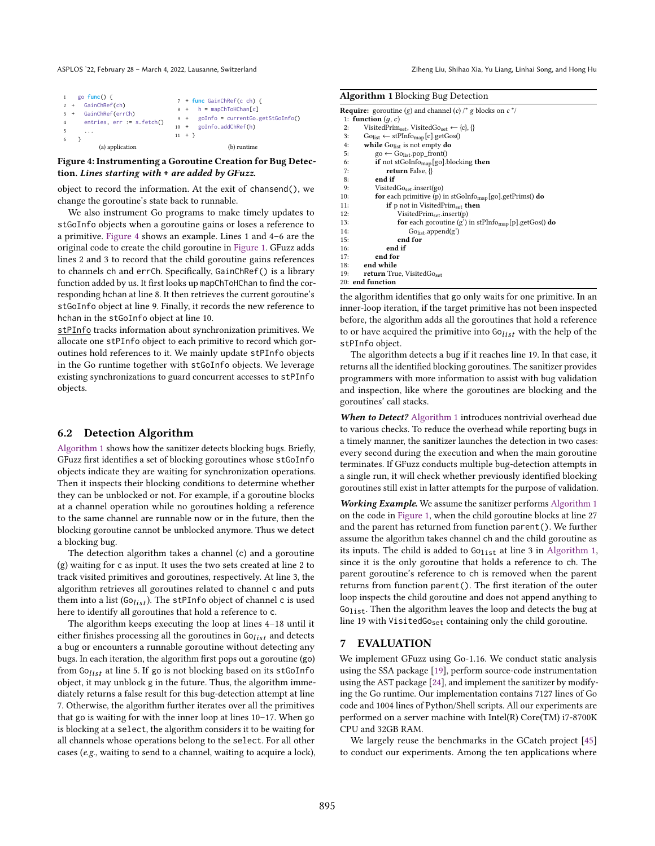<span id="page-7-0"></span>

| $2 +$<br>$3 +$<br>$\overline{4}$<br>5 | go func $()$ {<br>GainChRef(ch)<br>GainChRef(errCh)<br>entries, $err := s.fetch()$<br>$\cdots$ | 7 + func GainChRef(c ch) {<br>$8 + h = \text{mapChToHChan[c]}$<br>9 + goInfo = currentGo.getStGoInfo()<br>goInfo.addChRef(h)<br>$10 +$<br>$11 + \}$ |
|---------------------------------------|------------------------------------------------------------------------------------------------|-----------------------------------------------------------------------------------------------------------------------------------------------------|
| 6                                     | (a) application                                                                                | (b) runtime                                                                                                                                         |

#### Figure 4: Instrumenting a Goroutine Creation for Bug Detection. Lines starting with **+** are added by GFuzz.

object to record the information. At the exit of chansend(), we change the goroutine's state back to runnable.

We also instrument Go programs to make timely updates to stGoInfo objects when a goroutine gains or loses a reference to a primitive. [Figure 4](#page-7-0) shows an example. Lines 1 and  $4-6$  are the original code to create the child goroutine in [Figure 1.](#page-1-0) GFuzz adds lines 2 and 3 to record that the child goroutine gains references to channels ch and errCh. Specifically, GainChRef() is a library function added by us. It first looks up mapChToHChan to find the corresponding hchan at line 8. It then retrieves the current goroutine's stGoInfo object at line 9. Finally, it records the new reference to hchan in the stGoInfo object at line 10.

stPInfo tracks information about synchronization primitives. We allocate one stPInfo object to each primitive to record which goroutines hold references to it. We mainly update stPInfo objects in the Go runtime together with stGoInfo objects. We leverage existing synchronizations to guard concurrent accesses to stPInfo objects.

#### 6.2 Detection Algorithm

[Algorithm 1](#page-7-1) shows how the sanitizer detects blocking bugs. Briefly, GFuzz first identifies a set of blocking goroutines whose stGoInfo objects indicate they are waiting for synchronization operations. Then it inspects their blocking conditions to determine whether they can be unblocked or not. For example, if a goroutine blocks at a channel operation while no goroutines holding a reference to the same channel are runnable now or in the future, then the blocking goroutine cannot be unblocked anymore. Thus we detect a blocking bug.

The detection algorithm takes a channel (c) and a goroutine (g) waiting for c as input. It uses the two sets created at line 2 to track visited primitives and goroutines, respectively. At line 3, the algorithm retrieves all goroutines related to channel c and puts them into a list (Go<sub>list</sub>). The stPInfo object of channel c is used here to identify all goroutines that hold a reference to c.

The algorithm keeps executing the loop at lines  $4-18$  until it either finishes processing all the goroutines in  $Go_{list}$  and detects a bug or encounters a runnable goroutine without detecting any bugs. In each iteration, the algorithm first pops out a goroutine (go) from  $Gol<sub>list</sub>$  at line 5. If go is not blocking based on its stGoInfo object, it may unblock g in the future. Thus, the algorithm immediately returns a false result for this bug-detection attempt at line 7. Otherwise, the algorithm further iterates over all the primitives that go is waiting for with the inner loop at lines 10-17. When go is blocking at a select, the algorithm considers it to be waiting for all channels whose operations belong to the select. For all other cases (e.g., waiting to send to a channel, waiting to acquire a lock),

<span id="page-7-1"></span>

| Algorithm 1 Blocking Bug Detection |  |  |  |  |  |
|------------------------------------|--|--|--|--|--|
|------------------------------------|--|--|--|--|--|

|     | <b>Require:</b> goroutine (g) and channel (c) /* g blocks on $c^*$ /              |
|-----|-----------------------------------------------------------------------------------|
|     | 1: function $(q, c)$                                                              |
| 2:  | VisitedPrim <sub>set</sub> , VisitedGo <sub>set</sub> $\leftarrow \{c\}, \{\}$    |
| 3:  | $Go_{list} \leftarrow \text{stPInfo}_{map}[c].getGos()$                           |
| 4:  | while $Go_{list}$ is not empty do                                                 |
| 5:  | $\text{go} \leftarrow \text{Go}_{\text{list}}.\text{pop\_front}()$                |
| 6:  | if not stGoInfo <sub>map</sub> [go].blocking then                                 |
| 7:  | return False, $\{\}$                                                              |
| 8:  | end if                                                                            |
| 9:  | VistedGo <sub>set</sub> .insert(go)                                               |
| 10: | for each primitive (p) in $stGolnfoman[go].getPrims()$ do                         |
| 11: | <b>if</b> $p$ not in VisitedPrim <sub>set</sub> then                              |
| 12: | $VistedPrim_{\text{set}}.insert(p)$                                               |
| 13: | <b>for</b> each goroutine $(g')$ in stPInfo <sub>map</sub> [p] getGos() <b>do</b> |
| 14: | Go <sub>list</sub> .append(g')                                                    |
| 15: | end for                                                                           |
| 16: | end if                                                                            |
| 17: | end for                                                                           |
| 18: | end while                                                                         |
| 19: | <b>return</b> True, VisitedGoset                                                  |
|     | 20: end function                                                                  |

the algorithm identifies that go only waits for one primitive. In an inner-loop iteration, if the target primitive has not been inspected before, the algorithm adds all the goroutines that hold a reference to or have acquired the primitive into  $G_{list}$  with the help of the stPInfo object.

The algorithm detects a bug if it reaches line 19. In that case, it returns all the identified blocking goroutines. The sanitizer provides programmers with more information to assist with bug validation and inspection, like where the goroutines are blocking and the goroutines' call stacks.

When to Detect? [Algorithm 1](#page-7-1) introduces nontrivial overhead due to various checks. To reduce the overhead while reporting bugs in a timely manner, the sanitizer launches the detection in two cases: every second during the execution and when the main goroutine terminates. If GFuzz conducts multiple bug-detection attempts in a single run, it will check whether previously identified blocking goroutines still exist in latter attempts for the purpose of validation.

Working Example. We assume the sanitizer performs [Algorithm 1](#page-7-1) on the code in [Figure 1,](#page-1-0) when the child goroutine blocks at line 27 and the parent has returned from function parent(). We further assume the algorithm takes channel ch and the child goroutine as its inputs. The child is added to Go<sub>list</sub> at line 3 in [Algorithm 1,](#page-7-1) since it is the only goroutine that holds a reference to ch. The parent goroutine's reference to ch is removed when the parent returns from function parent(). The first iteration of the outer loop inspects the child goroutine and does not append anything to  $G_{01ist}$ . Then the algorithm leaves the loop and detects the bug at line 19 with VisitedGo<sub>set</sub> containing only the child goroutine.

#### 7 EVALUATION

We implement GFuzz using Go-1.16. We conduct static analysis using the SSA package [\[19\]](#page-13-31), perform source-code instrumentation using the AST package [\[24\]](#page-13-32), and implement the sanitizer by modifying the Go runtime. Our implementation contains 7127 lines of Go code and 1004 lines of Python/Shell scripts. All our experiments are performed on a server machine with Intel(R) Core(TM) i7-8700K CPU and 32GB RAM.

We largely reuse the benchmarks in the GCatch project [\[45\]](#page-13-21) to conduct our experiments. Among the ten applications where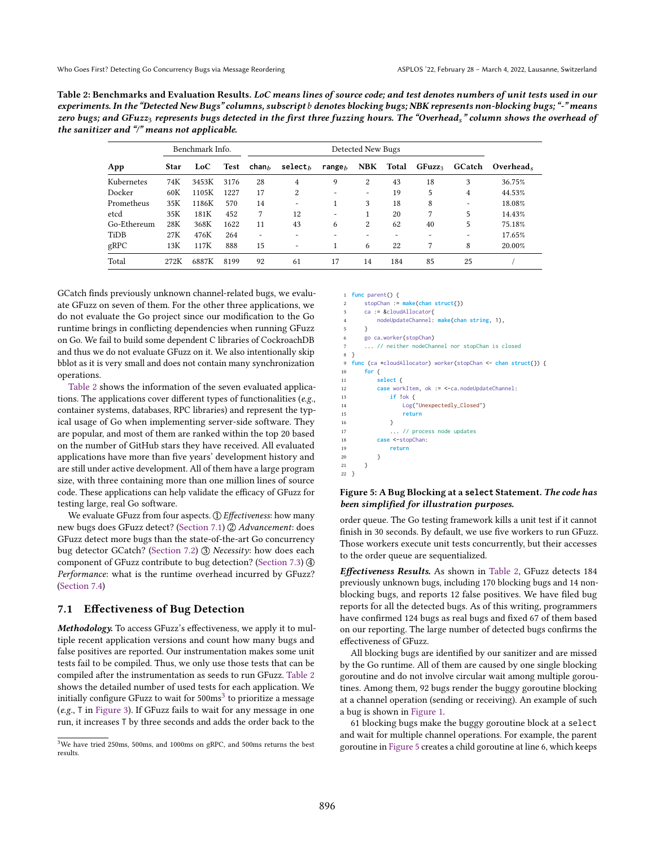<span id="page-8-0"></span>

| Table 2: Benchmarks and Evaluation Results. LoC means lines of source code; and test denotes numbers of unit tests used in our         |
|----------------------------------------------------------------------------------------------------------------------------------------|
| experiments. In the "Detected New Bugs" columns, subscript b denotes blocking bugs; NBK represents non-blocking bugs; "-" means        |
| zero bugs; and GFuzz $_3$ represents bugs detected in the first three fuzzing hours. The "Overhead $_8$ " column shows the overhead of |
| the sanitizer and "/" means not applicable.                                                                                            |

|             |             | Benchmark Info. |      | Detected New Bugs        |                          |            |                          |                  |                    |        |           |  |
|-------------|-------------|-----------------|------|--------------------------|--------------------------|------------|--------------------------|------------------|--------------------|--------|-----------|--|
| App         | <b>Star</b> | LoC             | Test | ${\sf chan}_h$           | $select_{h}$             | range $_h$ |                          | <b>NBK</b> Total | GFuzz <sub>3</sub> | GCatch | Overhead. |  |
| Kubernetes  | 74K         | 3453K           | 3176 | 28                       | $\overline{4}$           | 9          | 2                        | 43               | 18                 | 3      | 36.75%    |  |
| Docker      | 60K         | 1105K           | 1227 | 17                       | $\overline{2}$           |            | $\overline{\phantom{0}}$ | 19               | 5                  | 4      | 44.53%    |  |
| Prometheus  | 35K         | 1186K           | 570  | 14                       | $\overline{\phantom{a}}$ |            | 3                        | 18               | 8                  | -      | 18.08%    |  |
| etcd        | 35K         | 181K            | 452  | 7                        | 12                       |            |                          | 20               | 7                  | 5      | 14.43%    |  |
| Go-Ethereum | 28K         | 368K            | 1622 | 11                       | 43                       | 6          | 2                        | 62               | 40                 | 5      | 75.18%    |  |
| TiDB        | 27K         | 476K            | 264  | $\overline{\phantom{0}}$ | $\overline{\phantom{a}}$ |            |                          |                  | -                  | ٠      | 17.65%    |  |
| gRPC        | 13K         | 117K            | 888  | 15                       | $\overline{\phantom{a}}$ |            | 6                        | 22               | 7                  | 8      | 20.00%    |  |
| Total       | 272K        | 6887K           | 8199 | 92                       | 61                       | 17         | 14                       | 184              | 85                 | 25     |           |  |

GCatch finds previously unknown channel-related bugs, we evaluate GFuzz on seven of them. For the other three applications, we do not evaluate the Go project since our modification to the Go runtime brings in conflicting dependencies when running GFuzz on Go. We fail to build some dependent C libraries of CockroachDB and thus we do not evaluate GFuzz on it. We also intentionally skip bblot as it is very small and does not contain many synchronization operations.

[Table 2](#page-8-0) shows the information of the seven evaluated applications. The applications cover different types of functionalities (e.g., container systems, databases, RPC libraries) and represent the typical usage of Go when implementing server-side software. They are popular, and most of them are ranked within the top 20 based on the number of GitHub stars they have received. All evaluated applications have more than five years' development history and are still under active development. All of them have a large program size, with three containing more than one million lines of source code. These applications can help validate the efficacy of GFuzz for testing large, real Go software.

We evaluate GFuzz from four aspects.  $\textcircled{1}$  Effectiveness: how many new bugs does GFuzz detect? [\(Section 7.1\)](#page-8-1) 2 Advancement: does GFuzz detect more bugs than the state-of-the-art Go concurrency bug detector GCatch? [\(Section 7.2\)](#page-9-0) 3 Necessity: how does each component of GFuzz contribute to bug detection? [\(Section 7.3\)](#page-9-1) 4 Performance: what is the runtime overhead incurred by GFuzz? [\(Section 7.4\)](#page-10-0)

#### <span id="page-8-1"></span>7.1 Effectiveness of Bug Detection

Methodology. To access GFuzz's effectiveness, we apply it to multiple recent application versions and count how many bugs and false positives are reported. Our instrumentation makes some unit tests fail to be compiled. Thus, we only use those tests that can be compiled after the instrumentation as seeds to run GFuzz. [Table 2](#page-8-0) shows the detailed number of used tests for each application. We initially configure GFuzz to wait for  $500 \text{ms}^3$  $500 \text{ms}^3$  to prioritize a message (e.g., T in [Figure 3\)](#page-4-0). If GFuzz fails to wait for any message in one run, it increases T by three seconds and adds the order back to the

```
1 func parent() {
2 stopChan := make(chan struct{})
       ca := &cloudAllocator{
           4 nodeUpdateChannel: make(chan string, 1),
       \overline{3}go ca.worker(stopChan)
       ... // neither nodeChannel nor stopChan is closed
 8 }
   func (ca *cloudAllocator) worker(stopChan <- chan struct{}) {
10 for {
11 select {
```

```
12 case workItem, ok := <-ca.nodeUpdateChannel:
13 if !ok {
14 Log("Unexpectedly␣Closed")
15 return
16 }
17 ... // process node updates
18 case <-stopChan:
19 return
20 }
21 }
22 }
```
#### Figure 5: A Bug Blocking at a **select** Statement. The code has been simplified for illustration purposes.

order queue. The Go testing framework kills a unit test if it cannot finish in 30 seconds. By default, we use five workers to run GFuzz. Those workers execute unit tests concurrently, but their accesses to the order queue are sequentialized.

Effectiveness Results. As shown in [Table 2,](#page-8-0) GFuzz detects 184 previously unknown bugs, including 170 blocking bugs and 14 nonblocking bugs, and reports 12 false positives. We have filed bug reports for all the detected bugs. As of this writing, programmers have confirmed 124 bugs as real bugs and fixed 67 of them based on our reporting. The large number of detected bugs confirms the effectiveness of GFuzz.

All blocking bugs are identified by our sanitizer and are missed by the Go runtime. All of them are caused by one single blocking goroutine and do not involve circular wait among multiple goroutines. Among them, 92 bugs render the buggy goroutine blocking at a channel operation (sending or receiving). An example of such a bug is shown in [Figure 1.](#page-1-0)

61 blocking bugs make the buggy goroutine block at a select and wait for multiple channel operations. For example, the parent goroutine in [Figure 5](#page-8-2) creates a child goroutine at line 6, which keeps

<sup>3</sup>We have tried 250ms, 500ms, and 1000ms on gRPC, and 500ms returns the best results.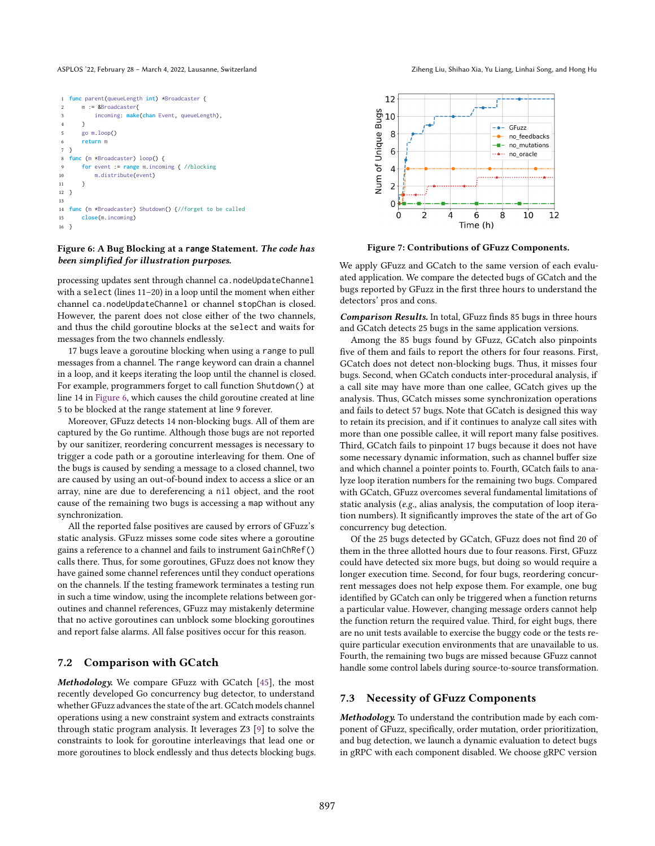```
1 func parent(queueLength int) *Broadcaster {
       m := &Broadcaster{
           3 incoming: make(chan Event, queueLength),
 4 }
 5 go m.loop()
 6 return m
7 }
8 func (m *Broadcaster) loop() {
9 for event := range m.incoming { //blocking
10 m.distribute(event)
11 }
12 }
13
14 func (m *Broadcaster) Shutdown() {//forget to be called
15 close(m.incoming)
16 \quad \frac{1}{2}
```
#### Figure 6: A Bug Blocking at a **range** Statement. The code has been simplified for illustration purposes.

processing updates sent through channel ca.nodeUpdateChannel with a select (lines  $11-20$ ) in a loop until the moment when either channel ca.nodeUpdateChannel or channel stopChan is closed. However, the parent does not close either of the two channels, and thus the child goroutine blocks at the select and waits for messages from the two channels endlessly.

17 bugs leave a goroutine blocking when using a range to pull messages from a channel. The range keyword can drain a channel in a loop, and it keeps iterating the loop until the channel is closed. For example, programmers forget to call function Shutdown() at line 14 in [Figure 6,](#page-9-2) which causes the child goroutine created at line 5 to be blocked at the range statement at line 9 forever.

Moreover, GFuzz detects 14 non-blocking bugs. All of them are captured by the Go runtime. Although those bugs are not reported by our sanitizer, reordering concurrent messages is necessary to trigger a code path or a goroutine interleaving for them. One of the bugs is caused by sending a message to a closed channel, two are caused by using an out-of-bound index to access a slice or an array, nine are due to dereferencing a nil object, and the root cause of the remaining two bugs is accessing a map without any synchronization.

All the reported false positives are caused by errors of GFuzz's static analysis. GFuzz misses some code sites where a goroutine gains a reference to a channel and fails to instrument GainChRef() calls there. Thus, for some goroutines, GFuzz does not know they have gained some channel references until they conduct operations on the channels. If the testing framework terminates a testing run in such a time window, using the incomplete relations between goroutines and channel references, GFuzz may mistakenly determine that no active goroutines can unblock some blocking goroutines and report false alarms. All false positives occur for this reason.

#### <span id="page-9-0"></span>7.2 Comparison with GCatch

Methodology. We compare GFuzz with GCatch [\[45\]](#page-13-21), the most recently developed Go concurrency bug detector, to understand whether GFuzz advances the state of the art. GCatch models channel operations using a new constraint system and extracts constraints through static program analysis. It leverages Z3 [\[9\]](#page-13-33) to solve the constraints to look for goroutine interleavings that lead one or more goroutines to block endlessly and thus detects blocking bugs.



<span id="page-9-3"></span>

Figure 7: Contributions of GFuzz Components.

We apply GFuzz and GCatch to the same version of each evaluated application. We compare the detected bugs of GCatch and the bugs reported by GFuzz in the first three hours to understand the detectors' pros and cons.

Comparison Results. In total, GFuzz finds 85 bugs in three hours and GCatch detects 25 bugs in the same application versions.

Among the 85 bugs found by GFuzz, GCatch also pinpoints five of them and fails to report the others for four reasons. First, GCatch does not detect non-blocking bugs. Thus, it misses four bugs. Second, when GCatch conducts inter-procedural analysis, if a call site may have more than one callee, GCatch gives up the analysis. Thus, GCatch misses some synchronization operations and fails to detect 57 bugs. Note that GCatch is designed this way to retain its precision, and if it continues to analyze call sites with more than one possible callee, it will report many false positives. Third, GCatch fails to pinpoint 17 bugs because it does not have some necessary dynamic information, such as channel buffer size and which channel a pointer points to. Fourth, GCatch fails to analyze loop iteration numbers for the remaining two bugs. Compared with GCatch, GFuzz overcomes several fundamental limitations of static analysis (e.g., alias analysis, the computation of loop iteration numbers). It significantly improves the state of the art of Go concurrency bug detection.

Of the 25 bugs detected by GCatch, GFuzz does not find 20 of them in the three allotted hours due to four reasons. First, GFuzz could have detected six more bugs, but doing so would require a longer execution time. Second, for four bugs, reordering concurrent messages does not help expose them. For example, one bug identified by GCatch can only be triggered when a function returns a particular value. However, changing message orders cannot help the function return the required value. Third, for eight bugs, there are no unit tests available to exercise the buggy code or the tests require particular execution environments that are unavailable to us. Fourth, the remaining two bugs are missed because GFuzz cannot handle some control labels during source-to-source transformation.

#### <span id="page-9-1"></span>7.3 Necessity of GFuzz Components

Methodology. To understand the contribution made by each component of GFuzz, specifically, order mutation, order prioritization, and bug detection, we launch a dynamic evaluation to detect bugs in gRPC with each component disabled. We choose gRPC version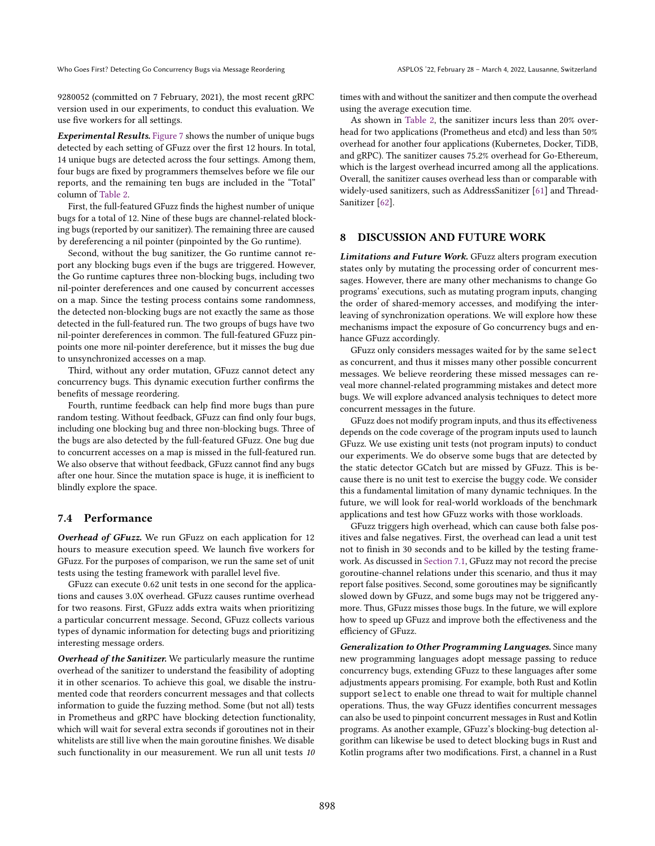9280052 (committed on 7 February, 2021), the most recent gRPC version used in our experiments, to conduct this evaluation. We use five workers for all settings.

Experimental Results. [Figure 7](#page-9-3) shows the number of unique bugs detected by each setting of GFuzz over the first 12 hours. In total, 14 unique bugs are detected across the four settings. Among them, four bugs are fixed by programmers themselves before we file our reports, and the remaining ten bugs are included in the "Total" column of [Table 2.](#page-8-0)

First, the full-featured GFuzz finds the highest number of unique bugs for a total of 12. Nine of these bugs are channel-related blocking bugs (reported by our sanitizer). The remaining three are caused by dereferencing a nil pointer (pinpointed by the Go runtime).

Second, without the bug sanitizer, the Go runtime cannot report any blocking bugs even if the bugs are triggered. However, the Go runtime captures three non-blocking bugs, including two nil-pointer dereferences and one caused by concurrent accesses on a map. Since the testing process contains some randomness, the detected non-blocking bugs are not exactly the same as those detected in the full-featured run. The two groups of bugs have two nil-pointer dereferences in common. The full-featured GFuzz pinpoints one more nil-pointer dereference, but it misses the bug due to unsynchronized accesses on a map.

Third, without any order mutation, GFuzz cannot detect any concurrency bugs. This dynamic execution further confirms the benefits of message reordering.

Fourth, runtime feedback can help find more bugs than pure random testing. Without feedback, GFuzz can find only four bugs, including one blocking bug and three non-blocking bugs. Three of the bugs are also detected by the full-featured GFuzz. One bug due to concurrent accesses on a map is missed in the full-featured run. We also observe that without feedback, GFuzz cannot find any bugs after one hour. Since the mutation space is huge, it is inefficient to blindly explore the space.

#### <span id="page-10-0"></span>7.4 Performance

Overhead of GFuzz. We run GFuzz on each application for 12 hours to measure execution speed. We launch five workers for GFuzz. For the purposes of comparison, we run the same set of unit tests using the testing framework with parallel level five.

GFuzz can execute 0.62 unit tests in one second for the applications and causes 3.0X overhead. GFuzz causes runtime overhead for two reasons. First, GFuzz adds extra waits when prioritizing a particular concurrent message. Second, GFuzz collects various types of dynamic information for detecting bugs and prioritizing interesting message orders.

Overhead of the Sanitizer. We particularly measure the runtime overhead of the sanitizer to understand the feasibility of adopting it in other scenarios. To achieve this goal, we disable the instrumented code that reorders concurrent messages and that collects information to guide the fuzzing method. Some (but not all) tests in Prometheus and gRPC have blocking detection functionality, which will wait for several extra seconds if goroutines not in their whitelists are still live when the main goroutine finishes. We disable such functionality in our measurement. We run all unit tests 10

times with and without the sanitizer and then compute the overhead using the average execution time.

As shown in [Table 2,](#page-8-0) the sanitizer incurs less than 20% overhead for two applications (Prometheus and etcd) and less than 50% overhead for another four applications (Kubernetes, Docker, TiDB, and gRPC). The sanitizer causes 75.2% overhead for Go-Ethereum, which is the largest overhead incurred among all the applications. Overall, the sanitizer causes overhead less than or comparable with widely-used sanitizers, such as AddressSanitizer [\[61\]](#page-14-21) and Thread-Sanitizer [\[62\]](#page-14-22).

#### 8 DISCUSSION AND FUTURE WORK

Limitations and Future Work. GFuzz alters program execution states only by mutating the processing order of concurrent messages. However, there are many other mechanisms to change Go programs' executions, such as mutating program inputs, changing the order of shared-memory accesses, and modifying the interleaving of synchronization operations. We will explore how these mechanisms impact the exposure of Go concurrency bugs and enhance GFuzz accordingly.

GFuzz only considers messages waited for by the same select as concurrent, and thus it misses many other possible concurrent messages. We believe reordering these missed messages can reveal more channel-related programming mistakes and detect more bugs. We will explore advanced analysis techniques to detect more concurrent messages in the future.

GFuzz does not modify program inputs, and thus its effectiveness depends on the code coverage of the program inputs used to launch GFuzz. We use existing unit tests (not program inputs) to conduct our experiments. We do observe some bugs that are detected by the static detector GCatch but are missed by GFuzz. This is because there is no unit test to exercise the buggy code. We consider this a fundamental limitation of many dynamic techniques. In the future, we will look for real-world workloads of the benchmark applications and test how GFuzz works with those workloads.

GFuzz triggers high overhead, which can cause both false positives and false negatives. First, the overhead can lead a unit test not to finish in 30 seconds and to be killed by the testing framework. As discussed in [Section 7.1,](#page-8-1) GFuzz may not record the precise goroutine-channel relations under this scenario, and thus it may report false positives. Second, some goroutines may be significantly slowed down by GFuzz, and some bugs may not be triggered anymore. Thus, GFuzz misses those bugs. In the future, we will explore how to speed up GFuzz and improve both the effectiveness and the efficiency of GFuzz.

Generalization to Other Programming Languages. Since many new programming languages adopt message passing to reduce concurrency bugs, extending GFuzz to these languages after some adjustments appears promising. For example, both Rust and Kotlin support select to enable one thread to wait for multiple channel operations. Thus, the way GFuzz identifies concurrent messages can also be used to pinpoint concurrent messages in Rust and Kotlin programs. As another example, GFuzz's blocking-bug detection algorithm can likewise be used to detect blocking bugs in Rust and Kotlin programs after two modifications. First, a channel in a Rust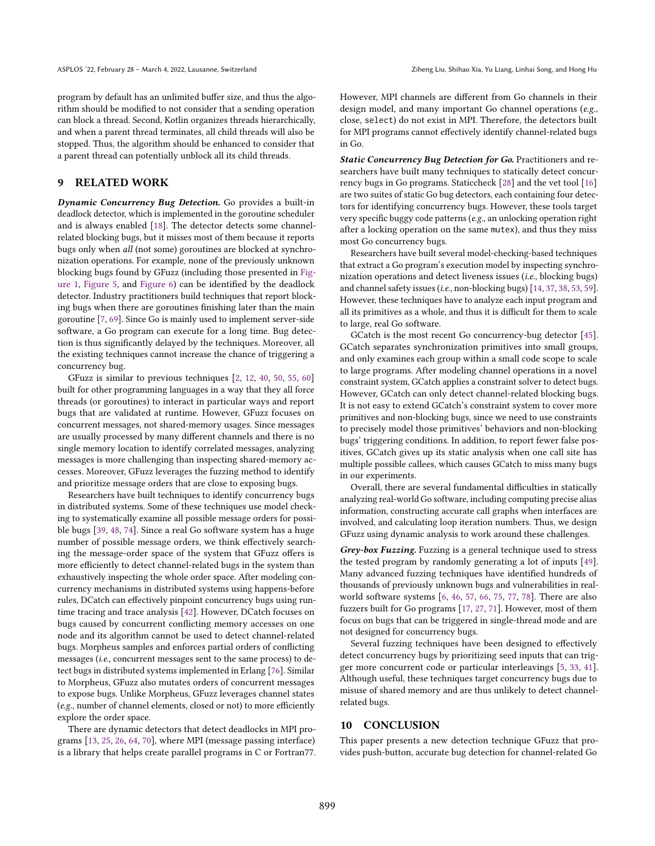program by default has an unlimited buffer size, and thus the algorithm should be modified to not consider that a sending operation can block a thread. Second, Kotlin organizes threads hierarchically, and when a parent thread terminates, all child threads will also be stopped. Thus, the algorithm should be enhanced to consider that a parent thread can potentially unblock all its child threads.

#### 9 RELATED WORK

Dynamic Concurrency Bug Detection. Go provides a built-in deadlock detector, which is implemented in the goroutine scheduler and is always enabled [\[18\]](#page-13-23). The detector detects some channelrelated blocking bugs, but it misses most of them because it reports bugs only when all (not some) goroutines are blocked at synchronization operations. For example, none of the previously unknown blocking bugs found by GFuzz (including those presented in [Fig](#page-1-0)[ure 1,](#page-1-0) [Figure 5,](#page-8-2) and [Figure 6\)](#page-9-2) can be identified by the deadlock detector. Industry practitioners build techniques that report blocking bugs when there are goroutines finishing later than the main goroutine [\[7,](#page-13-22) [69\]](#page-14-15). Since Go is mainly used to implement server-side software, a Go program can execute for a long time. Bug detection is thus significantly delayed by the techniques. Moreover, all the existing techniques cannot increase the chance of triggering a concurrency bug.

GFuzz is similar to previous techniques [\[2,](#page-13-34) [12,](#page-13-9) [40,](#page-13-13) [50,](#page-14-6) [55,](#page-14-8) [60\]](#page-14-10) built for other programming languages in a way that they all force threads (or goroutines) to interact in particular ways and report bugs that are validated at runtime. However, GFuzz focuses on concurrent messages, not shared-memory usages. Since messages are usually processed by many different channels and there is no single memory location to identify correlated messages, analyzing messages is more challenging than inspecting shared-memory accesses. Moreover, GFuzz leverages the fuzzing method to identify and prioritize message orders that are close to exposing bugs.

Researchers have built techniques to identify concurrency bugs in distributed systems. Some of these techniques use model checking to systematically examine all possible message orders for possible bugs [\[39,](#page-13-15) [48,](#page-14-11) [74\]](#page-14-12). Since a real Go software system has a huge number of possible message orders, we think effectively searching the message-order space of the system that GFuzz offers is more efficiently to detect channel-related bugs in the system than exhaustively inspecting the whole order space. After modeling concurrency mechanisms in distributed systems using happens-before rules, DCatch can effectively pinpoint concurrency bugs using runtime tracing and trace analysis [\[42\]](#page-13-14). However, DCatch focuses on bugs caused by concurrent conflicting memory accesses on one node and its algorithm cannot be used to detect channel-related bugs. Morpheus samples and enforces partial orders of conflicting messages (i.e., concurrent messages sent to the same process) to detect bugs in distributed systems implemented in Erlang [\[76\]](#page-14-20). Similar to Morpheus, GFuzz also mutates orders of concurrent messages to expose bugs. Unlike Morpheus, GFuzz leverages channel states (e.g., number of channel elements, closed or not) to more efficiently explore the order space.

There are dynamic detectors that detect deadlocks in MPI programs [\[13,](#page-13-35) [25,](#page-13-36) [26,](#page-13-37) [64,](#page-14-23) [70\]](#page-14-24), where MPI (message passing interface) is a library that helps create parallel programs in C or Fortran77. However, MPI channels are different from Go channels in their design model, and many important Go channel operations (e.g., close, select) do not exist in MPI. Therefore, the detectors built for MPI programs cannot effectively identify channel-related bugs in Go.

Static Concurrency Bug Detection for Go. Practitioners and researchers have built many techniques to statically detect concurrency bugs in Go programs. Staticcheck [\[28\]](#page-13-17) and the vet tool [\[16\]](#page-13-16) are two suites of static Go bug detectors, each containing four detectors for identifying concurrency bugs. However, these tools target very specific buggy code patterns (e.g., an unlocking operation right after a locking operation on the same mutex), and thus they miss most Go concurrency bugs.

Researchers have built several model-checking-based techniques that extract a Go program's execution model by inspecting synchronization operations and detect liveness issues (i.e., blocking bugs) and channel safety issues (i.e., non-blocking bugs) [\[14,](#page-13-18) [37,](#page-13-19) [38,](#page-13-20) [53,](#page-14-13) [59\]](#page-14-14). However, these techniques have to analyze each input program and all its primitives as a whole, and thus it is difficult for them to scale to large, real Go software.

GCatch is the most recent Go concurrency-bug detector [\[45\]](#page-13-21). GCatch separates synchronization primitives into small groups, and only examines each group within a small code scope to scale to large programs. After modeling channel operations in a novel constraint system, GCatch applies a constraint solver to detect bugs. However, GCatch can only detect channel-related blocking bugs. It is not easy to extend GCatch's constraint system to cover more primitives and non-blocking bugs, since we need to use constraints to precisely model those primitives' behaviors and non-blocking bugs' triggering conditions. In addition, to report fewer false positives, GCatch gives up its static analysis when one call site has multiple possible callees, which causes GCatch to miss many bugs in our experiments.

Overall, there are several fundamental difficulties in statically analyzing real-world Go software, including computing precise alias information, constructing accurate call graphs when interfaces are involved, and calculating loop iteration numbers. Thus, we design GFuzz using dynamic analysis to work around these challenges.

Grey-box Fuzzing. Fuzzing is a general technique used to stress the tested program by randomly generating a lot of inputs [\[49\]](#page-14-25). Many advanced fuzzing techniques have identified hundreds of thousands of previously unknown bugs and vulnerabilities in realworld software systems [\[6,](#page-13-29) [46,](#page-13-27) [57,](#page-14-26) [66,](#page-14-27) [75,](#page-14-28) [77,](#page-14-29) [78\]](#page-14-19). There are also fuzzers built for Go programs [\[17,](#page-13-38) [27,](#page-13-39) [71\]](#page-14-30). However, most of them focus on bugs that can be triggered in single-thread mode and are not designed for concurrency bugs.

Several fuzzing techniques have been designed to effectively detect concurrency bugs by prioritizing seed inputs that can trigger more concurrent code or particular interleavings [\[5,](#page-13-40) [33,](#page-13-41) [41\]](#page-13-42). Although useful, these techniques target concurrency bugs due to misuse of shared memory and are thus unlikely to detect channelrelated bugs.

#### 10 CONCLUSION

This paper presents a new detection technique GFuzz that provides push-button, accurate bug detection for channel-related Go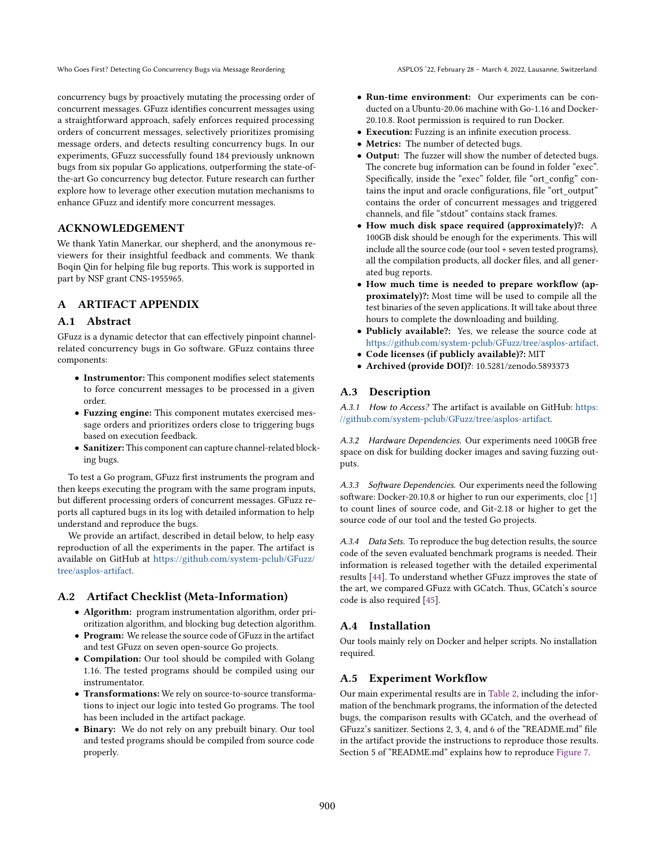concurrency bugs by proactively mutating the processing order of concurrent messages. GFuzz identifies concurrent messages using a straightforward approach, safely enforces required processing orders of concurrent messages, selectively prioritizes promising message orders, and detects resulting concurrency bugs. In our experiments, GFuzz successfully found 184 previously unknown bugs from six popular Go applications, outperforming the state-ofthe-art Go concurrency bug detector. Future research can further explore how to leverage other execution mutation mechanisms to enhance GFuzz and identify more concurrent messages.

## ACKNOWLEDGEMENT

We thank Yatin Manerkar, our shepherd, and the anonymous reviewers for their insightful feedback and comments. We thank Boqin Qin for helping file bug reports. This work is supported in part by NSF grant CNS-1955965.

## A ARTIFACT APPENDIX

## A.1 Abstract

GFuzz is a dynamic detector that can effectively pinpoint channelrelated concurrency bugs in Go software. GFuzz contains three components:

- Instrumentor: This component modifies select statements to force concurrent messages to be processed in a given order.
- Fuzzing engine: This component mutates exercised message orders and prioritizes orders close to triggering bugs based on execution feedback.
- Sanitizer: This component can capture channel-related blocking bugs.

To test a Go program, GFuzz first instruments the program and then keeps executing the program with the same program inputs, but different processing orders of concurrent messages. GFuzz reports all captured bugs in its log with detailed information to help understand and reproduce the bugs.

We provide an artifact, described in detail below, to help easy reproduction of all the experiments in the paper. The artifact is available on GitHub at [https://github.com/system-pclub/GFuzz/](https://github.com/system-pclub/GFuzz/tree/asplos-artifact) [tree/asplos-artifact.](https://github.com/system-pclub/GFuzz/tree/asplos-artifact)

## A.2 Artifact Checklist (Meta-Information)

- Algorithm: program instrumentation algorithm, order prioritization algorithm, and blocking bug detection algorithm.
- Program: We release the source code of GFuzz in the artifact and test GFuzz on seven open-source Go projects.
- Compilation: Our tool should be compiled with Golang 1.16. The tested programs should be compiled using our instrumentator.
- Transformations: We rely on source-to-source transformations to inject our logic into tested Go programs. The tool has been included in the artifact package.
- Binary: We do not rely on any prebuilt binary. Our tool and tested programs should be compiled from source code properly.
- Run-time environment: Our experiments can be conducted on a Ubuntu-20.06 machine with Go-1.16 and Docker-20.10.8. Root permission is required to run Docker.
- Execution: Fuzzing is an infinite execution process.
- Metrics: The number of detected bugs.
- Output: The fuzzer will show the number of detected bugs. The concrete bug information can be found in folder "exec". Specifically, inside the "exec" folder, file "ort\_config" contains the input and oracle configurations, file "ort\_output" contains the order of concurrent messages and triggered channels, and file "stdout" contains stack frames.
- How much disk space required (approximately)?: A 100GB disk should be enough for the experiments. This will include all the source code (our tool + seven tested programs), all the compilation products, all docker files, and all generated bug reports.
- How much time is needed to prepare workflow (approximately)?: Most time will be used to compile all the test binaries of the seven applications. It will take about three hours to complete the downloading and building.
- Publicly available?: Yes, we release the source code at [https://github.com/system-pclub/GFuzz/tree/asplos-artifact.](https://github.com/system-pclub/GFuzz/tree/asplos-artifact)
- Code licenses (if publicly available)?: MIT
- Archived (provide DOI)?: 10.5281/zenodo.5893373

## A.3 Description

A.3.1 How to Access? The artifact is available on GitHub: [https:](https://github.com/system-pclub/GFuzz/tree/asplos-artifact) [//github.com/system-pclub/GFuzz/tree/asplos-artifact.](https://github.com/system-pclub/GFuzz/tree/asplos-artifact)

A.3.2 Hardware Dependencies. Our experiments need 100GB free space on disk for building docker images and saving fuzzing outputs.

A.3.3 Software Dependencies. Our experiments need the following software: Docker-20.10.8 or higher to run our experiments, cloc [\[1\]](#page-13-43) to count lines of source code, and Git-2.18 or higher to get the source code of our tool and the tested Go projects.

A.3.4 Data Sets. To reproduce the bug detection results, the source code of the seven evaluated benchmark programs is needed. Their information is released together with the detailed experimental results [\[44\]](#page-13-44). To understand whether GFuzz improves the state of the art, we compared GFuzz with GCatch. Thus, GCatch's source code is also required [\[45\]](#page-13-21).

# A.4 Installation

Our tools mainly rely on Docker and helper scripts. No installation required.

# A.5 Experiment Workflow

Our main experimental results are in [Table 2,](#page-8-0) including the information of the benchmark programs, the information of the detected bugs, the comparison results with GCatch, and the overhead of GFuzz's sanitizer. Sections 2, 3, 4, and 6 of the "README.md" file in the artifact provide the instructions to reproduce those results. Section 5 of "README.md" explains how to reproduce [Figure 7.](#page-9-3)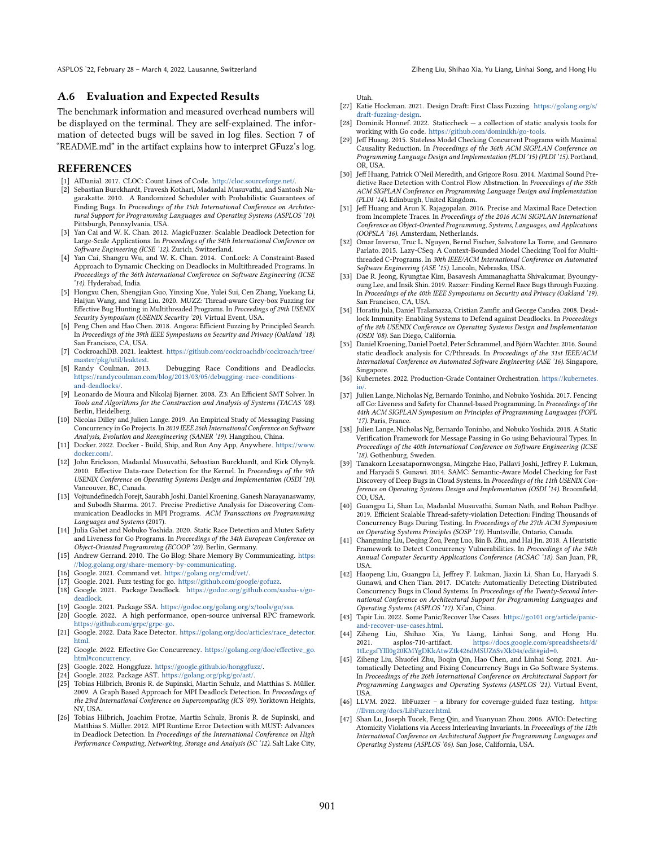## A.6 Evaluation and Expected Results

The benchmark information and measured overhead numbers will be displayed on the terminal. They are self-explained. The information of detected bugs will be saved in log files. Section 7 of "README.md" in the artifact explains how to interpret GFuzz's log.

#### REFERENCES

- <span id="page-13-43"></span>[1] AlDanial. 2017. CLOC: Count Lines of Code. [http://cloc.sourceforge.net/.](http://cloc.sourceforge.net/)
- <span id="page-13-34"></span>[2] Sebastian Burckhardt, Pravesh Kothari, Madanlal Musuvathi, and Santosh Nagarakatte. 2010. A Randomized Scheduler with Probabilistic Guarantees of Finding Bugs. In Proceedings of the 15th International Conference on Architectural Support for Programming Languages and Operating Systems (ASPLOS '10). Pittsburgh, Pennsylvania, USA.
- <span id="page-13-7"></span>[3] Yan Cai and W. K. Chan. 2012. MagicFuzzer: Scalable Deadlock Detection for Large-Scale Applications. In Proceedings of the 34th International Conference on Software Engineering (ICSE '12). Zurich, Switzerland.
- <span id="page-13-8"></span>[4] Yan Cai, Shangru Wu, and W. K. Chan. 2014. ConLock: A Constraint-Based Approach to Dynamic Checking on Deadlocks in Multithreaded Programs. In Proceedings of the 36th International Conference on Software Engineering (ICSE '14). Hyderabad, India.
- <span id="page-13-40"></span>[5] Hongxu Chen, Shengjian Guo, Yinxing Xue, Yulei Sui, Cen Zhang, Yuekang Li, Haijun Wang, and Yang Liu. 2020. MUZZ: Thread-aware Grey-box Fuzzing for Effective Bug Hunting in Multithreaded Programs. In Proceedings of 29th USENIX Security Symposium (USENIX Security '20). Virtual Event, USA.
- <span id="page-13-29"></span>[6] Peng Chen and Hao Chen. 2018. Angora: Efficient Fuzzing by Principled Search. In Proceedings of the 39th IEEE Symposiums on Security and Privacy (Oakland '18). San Francisco, CA, USA.
- <span id="page-13-22"></span>[7] CockroachDB. 2021. leaktest. [https://github.com/cockroachdb/cockroach/tree/](https://github.com/cockroachdb/cockroach/tree/master/pkg/util/leaktest) [master/pkg/util/leaktest.](https://github.com/cockroachdb/cockroach/tree/master/pkg/util/leaktest)<br>[8] Randy Coulman. 2013.
- <span id="page-13-5"></span>Debugging Race Conditions and Deadlocks. [https://randycoulman.com/blog/2013/03/05/debugging-race-conditions](https://randycoulman.com/blog/2013/03/05/debugging-race-conditions-and-deadlocks/)[and-deadlocks/.](https://randycoulman.com/blog/2013/03/05/debugging-race-conditions-and-deadlocks/)
- <span id="page-13-33"></span>[9] Leonardo de Moura and Nikolaj Bjørner. 2008. Z3: An Efficient SMT Solver. In Tools and Algorithms for the Construction and Analysis of Systems (TACAS '08). Berlin, Heidelberg.
- <span id="page-13-28"></span>[10] Nicolas Dilley and Julien Lange. 2019. An Empirical Study of Messaging Passing Concurrency in Go Projects. In 2019 IEEE 26th International Conference on Software Analysis, Evolution and Reengineering (SANER '19). Hangzhou, China.
- <span id="page-13-0"></span>[11] Docker. 2022. Docker - Build, Ship, and Run Any App, Anywhere. [https://www.](https://www.docker.com/) [docker.com/.](https://www.docker.com/)
- <span id="page-13-9"></span>[12] John Erickson, Madanlal Musuvathi, Sebastian Burckhardt, and Kirk Olynyk. 2010. Effective Data-race Detection for the Kernel. In Proceedings of the 9th USENIX Conference on Operating Systems Design and Implementation (OSDI '10). Vancouver, BC, Canada.
- <span id="page-13-35"></span>[13] Vojtundefinedch Forejt, Saurabh Joshi, Daniel Kroening, Ganesh Narayanaswamy, and Subodh Sharma. 2017. Precise Predictive Analysis for Discovering Communication Deadlocks in MPI Programs. ACM Transactions on Programming Languages and Systems (2017).
- <span id="page-13-18"></span>[14] Julia Gabet and Nobuko Yoshida. 2020. Static Race Detection and Mutex Safety and Liveness for Go Programs. In Proceedings of the 34th European Conference on Object-Oriented Programming (ECOOP '20). Berlin, Germany.
- <span id="page-13-3"></span>[15] Andrew Gerrand. 2010. The Go Blog: Share Memory By Communicating. [https:](https://blog.golang.org/share-memory-by-communicating) [//blog.golang.org/share-memory-by-communicating.](https://blog.golang.org/share-memory-by-communicating)
- <span id="page-13-16"></span>[16] Google. 2021. Command vet. [https://golang.org/cmd/vet/.](https://golang.org/cmd/vet/)
- <span id="page-13-38"></span>[17] Google. 2021. Fuzz testing for go. [https://github.com/google/gofuzz.](https://github.com/google/gofuzz) [18] Google. 2021. Package Deadlock. [https://godoc.org/github.com/sasha-s/go-](https://godoc.org/github.com/sasha-s/go-deadlock)
- <span id="page-13-23"></span>[deadlock.](https://godoc.org/github.com/sasha-s/go-deadlock)
- <span id="page-13-31"></span>[19] Google. 2021. Package SSA. [https://godoc.org/golang.org/x/tools/go/ssa.](https://godoc.org/golang.org/x/tools/go/ssa)
- <span id="page-13-2"></span>[20] Google. 2022. A high performance, open-source universal RPC framework. [https://github.com/grpc/grpc-go.](https://github.com/grpc/grpc-go)
- <span id="page-13-24"></span>[21] Google. 2022. Data Race Detector. [https://golang.org/doc/articles/race\\_detector.](https://golang.org/doc/articles/race_detector.html) [html.](https://golang.org/doc/articles/race_detector.html)
- <span id="page-13-4"></span>[22] Google. 2022. Effective Go: Concurrency. [https://golang.org/doc/effective\\_go.](https://golang.org/doc/effective_go.html#concurrency) [html#concurrency.](https://golang.org/doc/effective_go.html#concurrency)
- <span id="page-13-26"></span>[23] Google. 2022. Honggfuzz. [https://google.github.io/honggfuzz/.](https://google.github.io/honggfuzz/)
- <span id="page-13-32"></span>[24] Google. 2022. Package AST. [https://golang.org/pkg/go/ast/.](https://golang.org/pkg/go/ast/)
- <span id="page-13-36"></span>[25] Tobias Hilbrich, Bronis R. de Supinski, Martin Schulz, and Matthias S. Müller. 2009. A Graph Based Approach for MPI Deadlock Detection. In Proceedings of the 23rd International Conference on Supercomputing (ICS '09). Yorktown Heights, NY, USA.
- <span id="page-13-37"></span>[26] Tobias Hilbrich, Joachim Protze, Martin Schulz, Bronis R. de Supinski, and Matthias S. Müller. 2012. MPI Runtime Error Detection with MUST: Advances in Deadlock Detection. In Proceedings of the International Conference on High Performance Computing, Networking, Storage and Analysis (SC '12). Salt Lake City,

Utah.

- <span id="page-13-39"></span>[27] Katie Hockman. 2021. Design Draft: First Class Fuzzing. [https://golang.org/s/](https://golang.org/s/draft-fuzzing-design) [draft-fuzzing-design.](https://golang.org/s/draft-fuzzing-design)
- <span id="page-13-17"></span>[28] Dominik Honnef. 2022. Staticcheck – a collection of static analysis tools for working with Go code. [https://github.com/dominikh/go-tools.](https://github.com/dominikh/go-tools)
- <span id="page-13-10"></span>[29] Jeff Huang. 2015. Stateless Model Checking Concurrent Programs with Maximal Causality Reduction. In Proceedings of the 36th ACM SIGPLAN Conference on Programming Language Design and Implementation (PLDI '15) (PLDI '15). Portland, OR, USA.
- [30] Jeff Huang, Patrick O'Neil Meredith, and Grigore Rosu. 2014. Maximal Sound Predictive Race Detection with Control Flow Abstraction. In Proceedings of the 35th ACM SIGPLAN Conference on Programming Language Design and Implementation (PLDI '14). Edinburgh, United Kingdom.
- [31] Jeff Huang and Arun K. Rajagopalan. 2016. Precise and Maximal Race Detection from Incomplete Traces. In Proceedings of the 2016 ACM SIGPLAN International Conference on Object-Oriented Programming, Systems, Languages, and Applications (OOPSLA '16). Amsterdam, Netherlands.
- <span id="page-13-11"></span>[32] Omar Inverso, Truc L. Nguyen, Bernd Fischer, Salvatore La Torre, and Gennaro Parlato. 2015. Lazy-CSeq: A Context-Bounded Model Checking Tool for Multithreaded C-Programs. In 30th IEEE/ACM International Conference on Automated Software Engineering (ASE '15). Lincoln, Nebraska, USA.
- <span id="page-13-41"></span>[33] Dae R. Jeong, Kyungtae Kim, Basavesh Ammanaghatta Shivakumar, Byoungyoung Lee, and Insik Shin. 2019. Razzer: Finding Kernel Race Bugs through Fuzzing. In Proceedings of the 40th IEEE Symposiums on Security and Privacy (Oakland '19). San Francisco, CA, USA.
- <span id="page-13-6"></span>[34] Horatiu Jula, Daniel Tralamazza, Cristian Zamfir, and George Candea. 2008. Deadlock Immunity: Enabling Systems to Defend against Deadlocks. In Proceedings of the 8th USENIX Conference on Operating Systems Design and Implementation (OSDI '08). San Diego, California.
- <span id="page-13-12"></span>[35] Daniel Kroening, Daniel Poetzl, Peter Schrammel, and Björn Wachter. 2016. Sound static deadlock analysis for C/Pthreads. In Proceedings of the 31st IEEE/ACM International Conference on Automated Software Engineering (ASE '16). Singapore, Singapore.
- <span id="page-13-1"></span>[36] Kubernetes. 2022. Production-Grade Container Orchestration. [https://kubernetes.](https://kubernetes.io/) [io/.](https://kubernetes.io/)
- <span id="page-13-19"></span>[37] Julien Lange, Nicholas Ng, Bernardo Toninho, and Nobuko Yoshida. 2017. Fencing off Go: Liveness and Safety for Channel-based Programming. In Proceedings of the 44th ACM SIGPLAN Symposium on Principles of Programming Languages (POPL '17). Paris, France.
- <span id="page-13-20"></span>[38] Julien Lange, Nicholas Ng, Bernardo Toninho, and Nobuko Yoshida. 2018. A Static Verification Framework for Message Passing in Go using Behavioural Types. In Proceedings of the 40th International Conference on Software Engineering (ICSE '18). Gothenburg, Sweden.
- <span id="page-13-15"></span>[39] Tanakorn Leesatapornwongsa, Mingzhe Hao, Pallavi Joshi, Jeffrey F. Lukman, and Haryadi S. Gunawi. 2014. SAMC: Semantic-Aware Model Checking for Fast Discovery of Deep Bugs in Cloud Systems. In Proceedings of the 11th USENIX Conference on Operating Systems Design and Implementation (OSDI '14). Broomfield, CO, USA.
- <span id="page-13-13"></span>[40] Guangpu Li, Shan Lu, Madanlal Musuvathi, Suman Nath, and Rohan Padhye. 2019. Efficient Scalable Thread-safety-violation Detection: Finding Thousands of Concurrency Bugs During Testing. In Proceedings of the 27th ACM Symposium on Operating Systems Principles (SOSP '19). Huntsville, Ontario, Canada.
- <span id="page-13-42"></span>[41] Changming Liu, Deqing Zou, Peng Luo, Bin B. Zhu, and Hai Jin. 2018. A Heuristic Framework to Detect Concurrency Vulnerabilities. In Proceedings of the 34th Annual Computer Security Applications Conference (ACSAC '18). San Juan, PR, USA.
- <span id="page-13-14"></span>[42] Haopeng Liu, Guangpu Li, Jeffrey F. Lukman, Jiaxin Li, Shan Lu, Haryadi S. Gunawi, and Chen Tian. 2017. DCatch: Automatically Detecting Distributed Concurrency Bugs in Cloud Systems. In Proceedings of the Twenty-Second International Conference on Architectural Support for Programming Languages and Operating Systems (ASPLOS '17). Xi'an, China.
- <span id="page-13-25"></span>[43] Tapir Liu. 2022. Some Panic/Recover Use Cases. [https://go101.org/article/panic](https://go101.org/article/panic-and-recover-use-cases.html)[and-recover-use-cases.html.](https://go101.org/article/panic-and-recover-use-cases.html)
- <span id="page-13-44"></span>[44] Ziheng Liu, Shihao Xia, Yu Liang, Linhai Song, and Hong Hu. 2021. asplos-710-artifact. [https://docs.google.com/spreadsheets/d/](https://docs.google.com/spreadsheets/d/1tLcgsfYlll0g20KMYgDKkAtwZtk426dMSUZ6SvXk04s/edit##gid=0) [1tLcgsfYlll0g20KMYgDKkAtwZtk426dMSUZ6SvXk04s/edit#gid=0.](https://docs.google.com/spreadsheets/d/1tLcgsfYlll0g20KMYgDKkAtwZtk426dMSUZ6SvXk04s/edit##gid=0)
- <span id="page-13-21"></span>[45] Ziheng Liu, Shuofei Zhu, Boqin Qin, Hao Chen, and Linhai Song. 2021. Automatically Detecting and Fixing Concurrency Bugs in Go Software Systems. In Proceedings of the 26th International Conference on Architectural Support for Programming Languages and Operating Systems (ASPLOS '21). Virtual Event, USA.
- <span id="page-13-27"></span>[46] LLVM. 2022. libFuzzer - a library for coverage-guided fuzz testing. [https:](https://llvm.org/docs/LibFuzzer.html) [//llvm.org/docs/LibFuzzer.html.](https://llvm.org/docs/LibFuzzer.html)
- <span id="page-13-30"></span>[47] Shan Lu, Joseph Tucek, Feng Qin, and Yuanyuan Zhou. 2006. AVIO: Detecting Atomicity Violations via Access Interleaving Invariants. In Proceedings of the 12th International Conference on Architectural Support for Programming Languages and Operating Systems (ASPLOS '06). San Jose, California, USA.